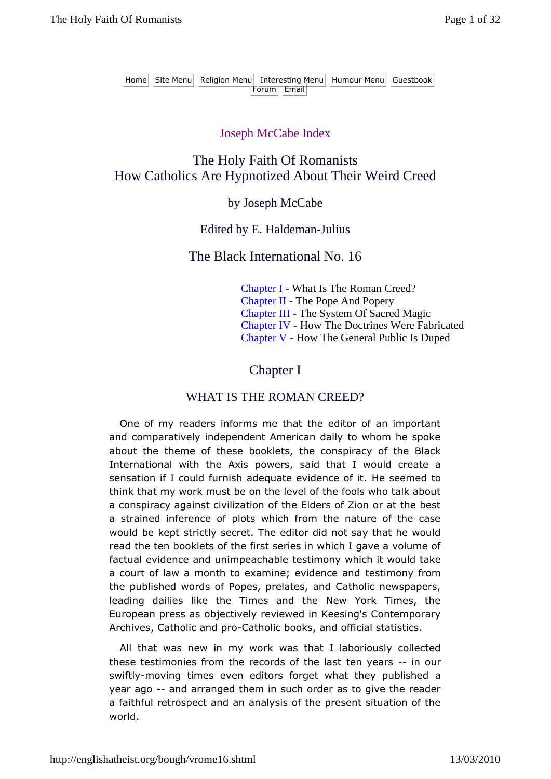## Joseph McCabe Index

# The Holy Faith Of Romanists How Catholics Are Hypnotized About Their Weird Creed

## by Joseph McCabe

## Edited by E. Haldeman-Julius

# The Black International No. 16

Chapter I - What Is The Roman Creed? Chapter II - The Pope And Popery Chapter III - The System Of Sacred Magic Chapter IV - How The Doctrines Were Fabricated Chapter V - How The General Public Is Duped

# Chapter I

# WHAT IS THE ROMAN CREED?

One of my readers informs me that the editor of an important and comparatively independent American daily to whom he spoke about the theme of these booklets, the conspiracy of the Black International with the Axis powers, said that I would create a sensation if I could furnish adequate evidence of it. He seemed to think that my work must be on the level of the fools who talk about a conspiracy against civilization of the Elders of Zion or at the best a strained inference of plots which from the nature of the case would be kept strictly secret. The editor did not say that he would read the ten booklets of the first series in which I gave a volume of factual evidence and unimpeachable testimony which it would take a court of law a month to examine; evidence and testimony from the published words of Popes, prelates, and Catholic newspapers, leading dailies like the Times and the New York Times, the European press as objectively reviewed in Keesing's Contemporary Archives, Catholic and pro-Catholic books, and official statistics.

All that was new in my work was that I laboriously collected these testimonies from the records of the last ten years -- in our swiftly-moving times even editors forget what they published a year ago -- and arranged them in such order as to give the reader a faithful retrospect and an analysis of the present situation of the world.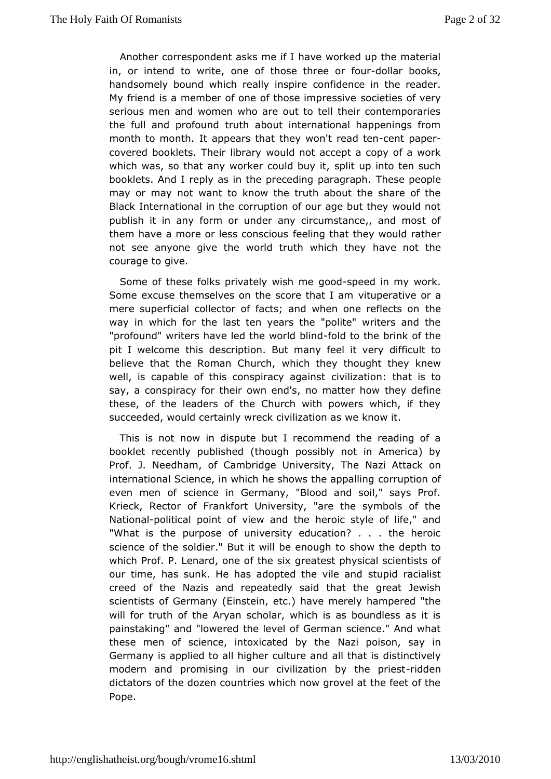Anothecrorrespondent asks me if I have worked up the materi in, or intend to whicte of those three -dolfaurbooks, handsomely bound which realdoninds on the reader. My friend is a member of one of those cilination essessify  $e$ ery serious men and women who are out to tell their contempora the full and profound truth about international happenings month to monithappears that they won't-creened pteener covered booklets. The iw olubdan pt accept a copy of a work which was, so that any worker copulid bupyintto ten such booklets. And I reply as in the preced Trhge spear paegorgalpeh. may or may not want to know the truth about the share of Blacknternational in the corruption of our age but they would publish it in fanm or under any circumstance,, and most of them have a more or less consider they would rather not see anyone give the world truthhawhechnothebye courage to give.

Some of these folks privatelgow ds peemde in my work. Some excuse themselves on the scovietutheartativaem or a mere superficial collector of facts; and when hene reflects on way in which for the last ten years the "polite" writers and "profounwt" iters have led the wofroddobolon the brink of the pit I welcome dtess ription. But many feel it very difficult to believe that the Roman wChhiw they thought they knew well, is capable of this conspiracing vilizations: that is to say, a conspiracy for their own end's, those ym alterfeinehow these, of the leaders of the Church with powers which, if succeeded, would certainly wreck civilization as we know it.

This is mootw in dispute but I recommend the reading of a booklet recently pub(thoschuegdh possibly not in America) by Prof. J. Needham, of Cambridge Tubiveasity, ttack on international Science, in which he shows the appading even men of science in Germany, "Blood and soil," says F Krieck, Rector of Frankfort University, "are the symbols of Nationablitical point of view and the heroic style of life," "What is the rpose of university education? . . . the heroid science of the soldietr. Will ubte enough to show the depth to which Prof. P. Lenard, onegoé at the est in thy sical scientists of our time, has sunk. He has adopted stthuopidilmeacainadist creed of the Nazis and repeatedly said that the great Je scientists of Germany (Einstein, etc.) have merely hampered will for trafhthe Aryan scholar, which is as boundless as it painstaking" and "lowerledel of German science." And what these men of science, intoxicatNeadzibypotisen, say in Germany is applied to all higher culturediathion catlive hyat is modern and promising in our civilization-riddydethe priest dictators of the dozen countries which now grovel at the feet Pope.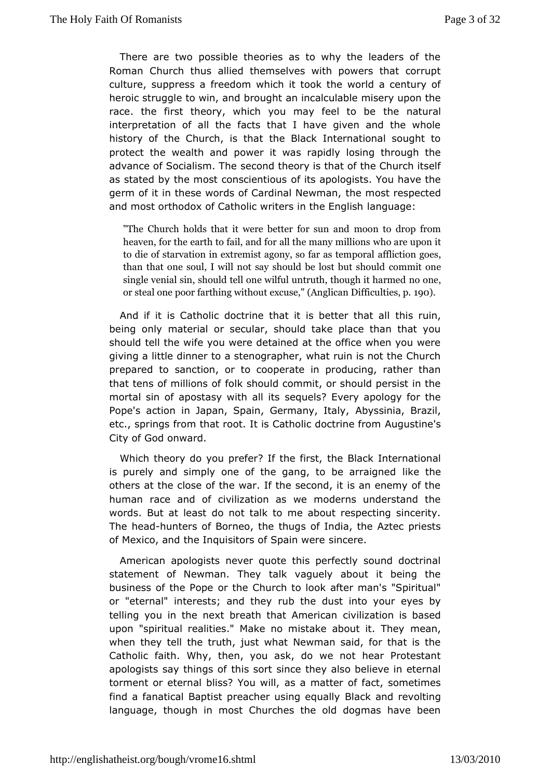There are two possible theories as to why the leaders of RomanChurch thus allied themselves with powers that corru culture, suppresseaom which it took the world a century of heroic struggle to win, ana himo an untuilable misery upon the race. the first theory, which you may the eal at tuorable interpretation of all the facts that I have given and the w history of the Church, is that the Black International sought protect the wealth and power it was rapidly losing through the advance of Socialisme.cdTmde theory is that of the Church itself as stated by the most consofietrstiapuslogists. You have the germ of it in these words of Cardinhad Moowtman, spected and most orthodox of Catholic writerslangthe english

"The Church holds that it were bneotbenr tfoordsoupn farnoom! heaven, for the earth to fail, and fow and the umpaomy imillions to die of starvation in extremist agontflistoidargosestemporal than that one soul, I will not say shout both the se but shoul single venial sin, should tell one wilful umotrothe, though it h or steal one poor farthing without excuse, "I Anglican Difficulties, p. 1900).

And if it is Catholic doctrine that it is the streamnthat all being only material or secular, should take place than that should tell the wife you were detained at the office when you were giving lattle dinner to a stenographer, what ruin is not the Chu prepared stanction, or to cooperate in producing, rather tha that tens of millifoon's should commit, or should persist in the mortal sin of apostasy wistenguall siffs Every apology for the Pope's action in Japan, Spain, GeArbassiniaal Brazil, etc., springs from that root. It is CatholAuguLosactimies's from City of God onward.

Which theory do you prefer? Ithe hBlaich stinternational is purely and simply one of the gang, tdikbee tahreraigned others at the close of the war. If the second, it is an enemy human race and of civilization as we moderns understand words. But at becassitot talk to me about respecting sincerity. The heand unters of Borneon, utoms of India, the Aztec priests of Mexico, and the Inquisitors osispain were

American apologists never quote this perfectly sound doct statement of Newman. They talk vaguely about it being t business of the oProt the Church to look after man's "Spiritual" or "eternal" interests; anudb tthe ey dust into your eyes by telling you in the next breath th $a$  tv $A$  meantion and is based upon "spiritual realities." Make no mistake about it. They when they tell the truth, just what Newman said, for that is Catholifaith. Why, then, you ask, do we not hear Protestar apologists say thitmigs soft since they also believe in eternal torment or eternal bliss?a\ca mwaltter of fact, sometimes find a fanatical Baptist preacher **Bsack** and ant by olting language, though in most Churches the old dogmas have b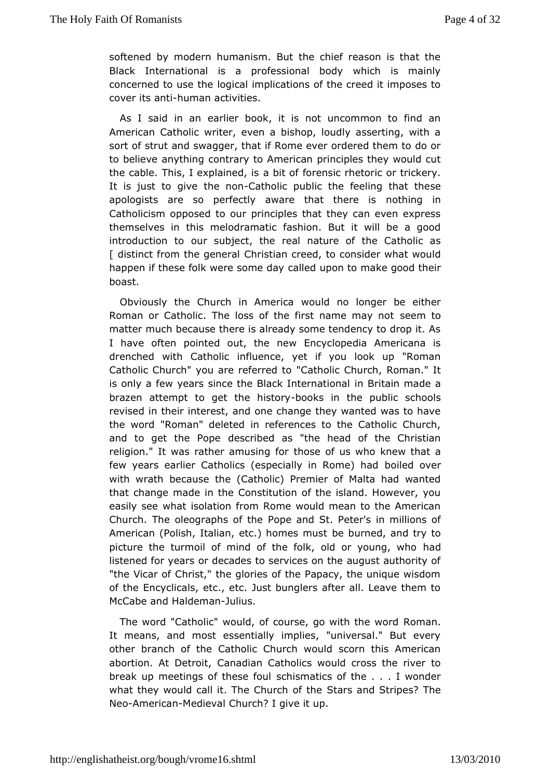softened by modern humanism. But the chief reason is that BlackInternational is a professional body which is main concerned to uslegiceal implications of the creed it imposes to cover its -ahnutmianactivities.

As I said in an earlier book, it is not uncommon to find American Catholic writer, even a bishop, loudly asserting, v sort of stand swagger, that if Rome ever ordered them to do c to believe anythoimtgary to American principles they would cut the cable. This, I explained of is ordensic rhetoric or trickery. It is just to give the Ceatholohipoublic the feeling that these apologists are so perfectly aware thrad thim earlinis Catholicism opposed to our principles that they can even ex themselves in this melodramatic fashion. But it will be a introduction outo subject, the real nature of the Catholic as [ distinct from the **@chrestallan** creed, to consider what would happen if these folk were csaolmeed duapyon to make good their boast.

Obviously the Church in wAmuddicmao longer be either Roman or Catholic. The loss of the first swe metonay not matter much because there is already some tendency to drop I haveoften pointed out, the new Encyclopedia Americana drenched with Catholluence, yet if you look up "Roman Catholic Church" you are recentheodicoChurch, Roman." It is only a few years since the Blackin nBs eit raation made a brazen attempt to get the borbils soling the public schools revised in their interest, and one change they wanted was to the wordRoman" deleted in references to the Catholic Churc and to get the Deperibed as "the head of the Christian religion." It was rather amtuhspished of brus who knew that a few years earlier Catholics (especially bonile do method with wrath because the (Catholic) Premier of Malta had wa thatchange made in the Constitution of the island. However, easily see wisaltation from Rome would mean to the American Church. The oleograph & opfe thed St. Peter's in millions of American (Polish, Italian, etc.) homewormed stand try to picture the turmoil of mind of the folk, old had young, who listened for years or decades to services on the august autho "theVicar of Christ," the glories of the Papacy, the unique wi of thencyclicals, etc., etc. Just bunglers after all. Leave the  $McC$  a  $be$  althodicle mauntius.

The word "Catholic" would, of course, go Rowmit annihe word It means, and most essentially implies, "universal." But e othe branch of the Catholic Church would scorn this Americ abortion. At DeCraonia, dian Catholics would cross the river to break up meetings of these beisfoundatics of the . . . I wonder what they would call it. The ChSutracrhs cafn oth Sitripes? The Neo-America Medieval Church? I give it up.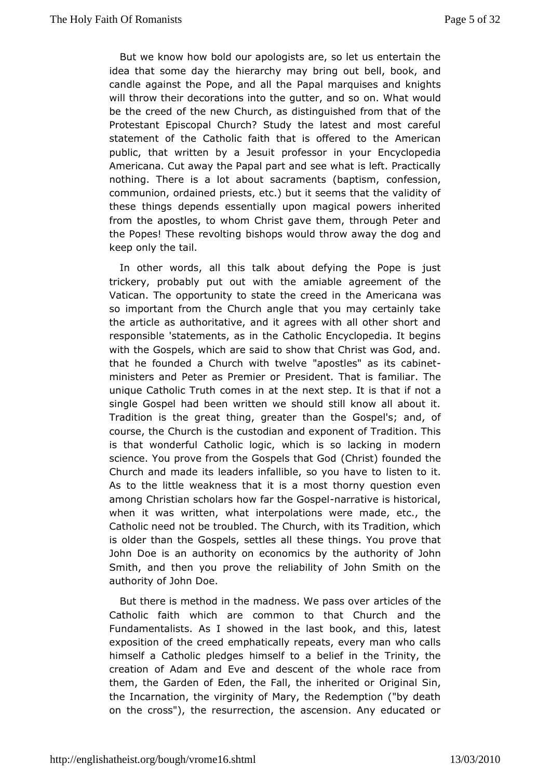But weenow how bold our apologists are, so let us entertain idea that some dahyietheerchy may bring out bell, book, and candle against the Pope, a Phapall minequises and knights will throw their decorations into the gunuit  $\mathsf{W}$  that mudors  $\mathsf{d}\mathsf{d}$ be the creed of the new Church, as distinguished from that c Protestant Episcopal Church? Study the latest and most ca statement of Cheholic faith that is offered to the American public, that written by **a** rolfessusion in your Encyclopedia Americana. Cut away the Papal partianle fate  $\theta$  watcatically nothing. There is a lot about sacrame  $\cos f$   $\sin \theta$  apthsm, communion, ordained priests, etc.) but it seems that the valid these things depends essentially upon magical powers inhe from thæpostles, to whom Christ gave them, through Peter ar the Popes! These rebvishtops would throw away the dog and keep only the tail.

In other worals, this talk about defying the Pope is just trickery, probably put out awnit abibe agreement of the Vatican. The opportunity to state the Amore ered amina twheres so important from the Church angle that you may certainly thearticle as authoritative, and it agrees with all other short responsibsteatements, as in the Catholic Encyclopedia. It beg with the Gospels, awe is aid to show that Christ was God, and. that he founded a Church with apowellexe" as its cabinet ministers and Peter as Premier or Prefsame hiar. That e is unique Catholic Truth comes in at the next ste p. It is that if single Gospel had been written we should still know all abo Tradition the great thing, greater than the Gospel's; and, o course, the Church cuss the delay and exponent of Tradition. This is that wonderful Catholwich it og lis, so lacking in modern science. You prove from the GospeClart hat founded the Church and made its leaders infallible, issote you to have to As to the little weakness that it is a most thorny question among Christian scholars how fanatheatGoospielhistorical, when it was itten, what interpolations were made, etc., the Catholic need not be troubled and rich, with its Tradition, which is older than the Gospels, the ette shings. You prove that John Doe is an authority on econoamuitch sorbity the John Smith, and then you prove the reliability of John Smith on authority of John Doe.

But there is method in the madness. A Weigd assoot when Catholic faith which are common to that Church and the Fundamentalists. As I showed in the last book, and this, I exposition the creed emphatically repeats, every man who call himself a Catholic phliemds ones to a belief in the Trinity, the creation of Adam and Eve and thees cve in of race from them, the Garden of Eden, the Fall, the eriignimentitsbich, or the Incarnation, the virginity of Mary, the Redemption ("by c on the cross"), the resurrection, the ascension. Any educat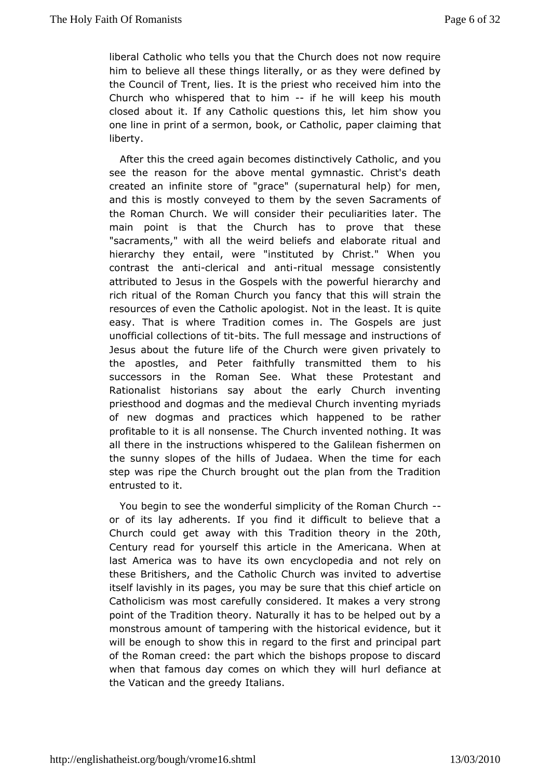liberaClatholic who tells you that the Church does not now requ him to believth as things literally, or as they were defined b the Council of Trent, is ide be priest who received him into the Church who whispered that  $i\mathbf{b}$  memwill keep his mouth closed about it. If any Catholic queshtimonshitchwis, younget one line in print of a sermon, book, or Catholticatpaper claimin liberty.

After this the creed again becomes distinaction  $\phi$  we Catholic, see the reason for the above mental gymnastic. Christ's d created amfinite store of "grace" (supernatural help) for me and this is mostly eyed to them by the seven Sacraments of the Roman Church. We willthcomins pobecruliarities later. The main point is that the Church has to the see that "sacraments," with all the weird beliefs and elaborate ritua hierarchy they entail, were "instituted by Christ." When contrast the at-iclerical and -ratrutal message consistently attributed to Jesus Gions phees with the powerful hierarchy and rich ritual of the Roman Chaumch who ut this will strain the resources of even the Catholic apothoegiet. SNottlins quite easy. That is where Tradition comes in. ThuestGospels are unofficial collections at Thite full message and instructions of Jesus about the future life of the Church were given private the apostlessnd Peter faithfully transmitted them to his successors in the Roman Setches WhaPtrotestant and Rationalist historians say about the early Church invent priesthood and dogmas and the medieval Church inventing my of new dogmansd practices which happened to be rather profitable to it is all non **C**ehrusrech Tinvented nothing. It was all there in the instructions whis Cpaelnie edato fibbermen on the sunny slopes of the hills of Judaea. Whe anthe time for step was ripe the Church brought out the plan from the Trad entrusted it.

You begin to see the wonderful simplicity of the Roman Chui or of its lay adherents. If you find it difficult to believe the Church coupled away with this Tradition the  $200$ th, in the Century read for yourseerthic theisin the Americana. When at last America was to have its own **and**y coloperelly on these Britishers, and the Catholic Church dwestimevited to itself lavishly in its pages, you may be sure theant this chief ar Catholicism was most carefully considered. It makes a very s point office Tradition theory. Naturally it has to be helped out t monstrous amounat mopfering with the historical evidence, but it will be enough to show et raisdino the first and principal part of the Roman creed: the partbwshiopst peopose to discard when that famous day comes on which dlee eiyanwoidel anturl the Vatican and the greedy Italians.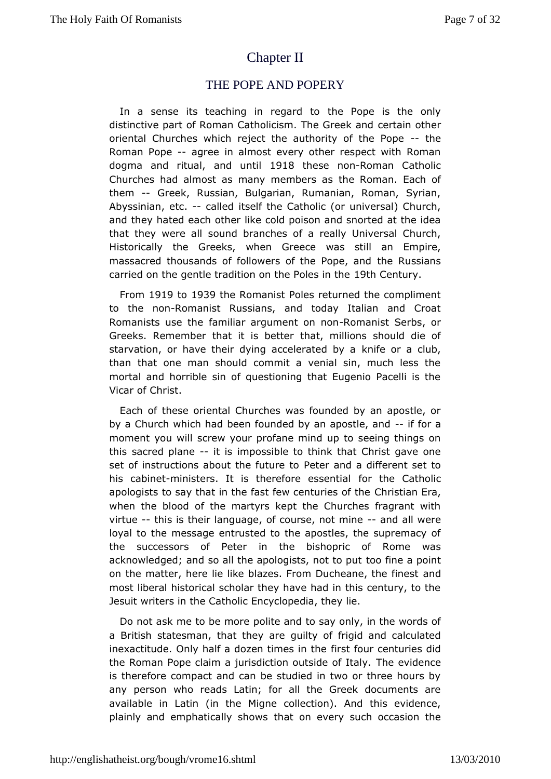# **[ChapterII](http://englishatheist.org/bough/vrome16.shtmlChapter)**

### THE POPE AND POPERY

In a sense its teaching in the are redopted is the only distinctive part of Roman Catholicism. CTehrea Ghreeth eand oriental Churches which reject the authorit-ythoef the Pope Roman Popeagree in almost every other respect with Roman dogma and ritual, until 918 these n-Roman Catholic Churches had almost as many memeb & rosmas. Each of them-- Greek, Russian, Bulgarian, Rumanian, Roman, Syrian, Abyssinian,  $-$  tocalled itself the Catholic (or universal) Church and the hyated each other like cold poison and snorted at the idea that they werescaulind branches of a really Universal Church, Historically the Greeks, Grow theon was still an Empire, massacred thousands of followers of the Ropsjansd carried on the gentle tradition on the Orten Follow the

From1919 to1939 the Romanist Poles returned the compliment to the noRomanist Russians, and today Italian and Croat Romanists usefatmeliar argument on nomamist Serbs, or Greeks. Remember that it ibabetheilions should die of starvation, or have their dying acceklneinfaeteodr bay calub, than that one man should commit a venial sin, much less mortal and horrible sin of questioning that Eugenio Pacelli Vicar **Gibrist** 

Each of these oriental Churches was founded by an apostl by aChurch which had been founded by an-apositica, and moment you willew your profane mind up to seeing things on this sacred plainteismpossible to think that Christ gave one set of instructions about the efueture and oa different set to his cabinmeitnisters. It is therefore fosseheia Catholic apologists to say that in the fast few Centustian Entahe when the blood of the martyrs kept the Churches fragrant  $\overline{a}$ virtue-this is their language, of courseamd tamhiwere loyal tothe message entrusted to the apostles, the supremacy the successors of iPhetelne bishopric of Rome was acknowledged; and so all the apologitde, fine a boppoint on the matter, here lie like blazes. From Ducahnedane, the fines most liberal historical scholar they have had in this century, Jesumtriters in the Catholic Encyclopedia, they lie.

Do not ask me to bepomictee and to say only, in the words of a British statesman, that othe by a ore frigid and calculated inexactitude. Only half a dozen ftiimsesfoiunrthenturies did the Roman Pope claim a jurisdiction oluthseideevicdfehtcady. is therefore compact and can be studied in two or three hou any person who reads Latin; for all the Greek documents available in Latin the Migne collection). And this evidence, plainly and emphatically has thowns every such occasion the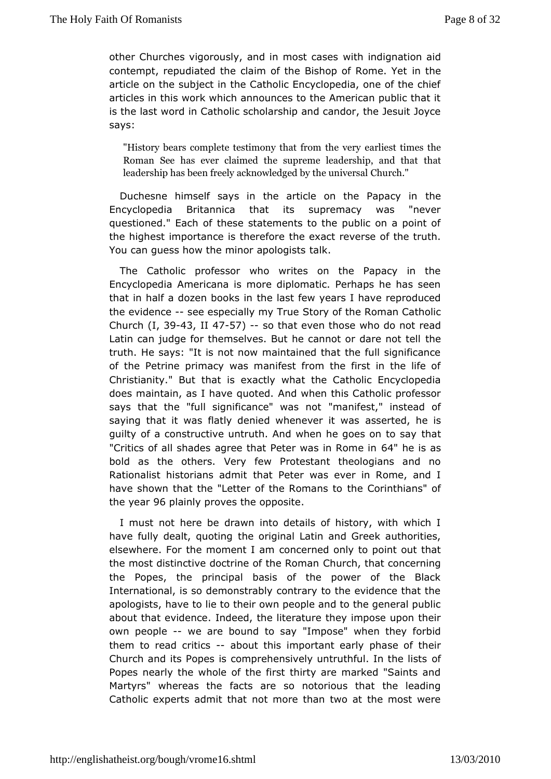other Churches vigorously, and inwimidiosithe diaconeastion aid contempt, repudiated the claim of the Bishop to the Rome. Yet article on the subject in the Catholic Encyclopedia, one of th articles in this work which announces to the American public is the lawsotrd in Catholic scholarship and candor, the Jesuit Jc says:

"History bears complete testimony etahral test to that these where  $\nu$ Roman See has ever claimed the supremethedadership, and leadership has been freely acknowleddiguent the universal

Duchesne himself says in the article on tthe Papacy in Encyclopedia Britannica that its supremacy was "nev questioned." Eatch esset statements to the public on a point of the highest importance is tthe ereexat are reverse of the truth. You can guess how the minortabkologists

The Catholic professor who writes on the Papacy in t Encyclope Americana is more diplomatic. Perhaps he has see that in half a dozen books in few years I have reproduced the evidencsee especially m St bryeof the Roman Catholic Church,  $3943$ , II  $47-57$  --so that even two sedo not read Latin can judge for themselves. But he cannotther dare not te truth. He says: "It is not now maintained that the full signifi of the Petrine primacy was manifest from the first in the life Christianity." thBautt is exactly what the Catholic Encyclopedia does maintain, as I have Aqdowt this Catholic professor says that the "full significancë mawnatse snto"t instead of saying that it was flatly denied wheanses weented, whees is guilty of a constructive untruth. And when hehgoes on to say "Critics of all shades agree that Peter & "A sheine in bold ashe others. Very few Protestant theologians and n Rationalist historian that mether was ever in Rome, and I have shown that the "Letter of the heochamisthoans" of the yea6 plainly proves the opposite

I must nature be drawn into details of history, with which have fully dealt, quimetion giginal Latin and Greek authorities, elsewhere. For the momecroth cearmed only to point out that the most distinctive doctrine of Chuerch and ant concerning the Popes, the principal basis of the power of the BI International, is so demonstrably contrary to the evidence that apologishaye to lie to their own people and to the general put about that evidem teed, the literature they impose upon their own peoplewe are bound to"Ismapyose" when they forbid them to read critadosout this important heasurely of their Church and its Popes is comprehensively untroothful. In the li Popes nearly the whole of the first thirty are marked "Saints Martyrs whereas the facts are so notorious that the leadin Catholic experts admidittheotre than two at the most were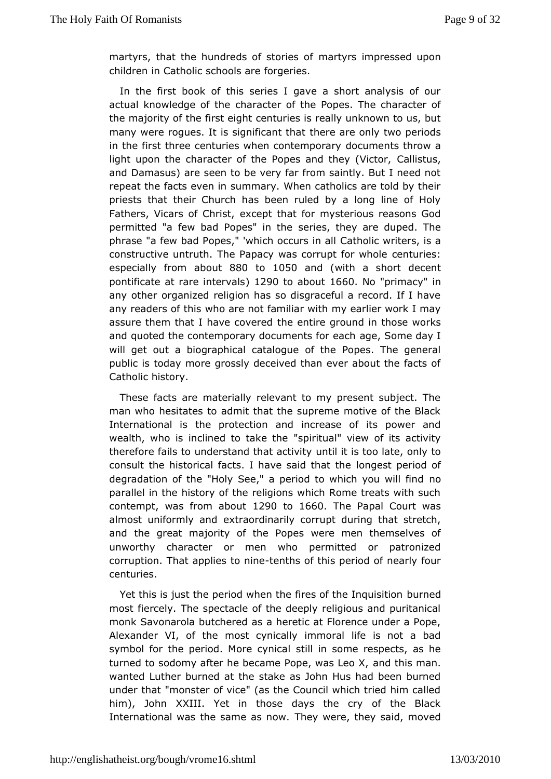martyrs, that the hundreds of meato the stories sed upon children in Catholic schools are forgeries.

In the first book of this series I gave a short analysis of actual knowledge ohathaecter of the Popes. The character of the majority of the fircsetnetuights is really unknown to us, but many were roques. It is signithea entar the aonly two periods in the first three centuries when cobonctuermm portrainty hrow a light upon the character of the Popes an $\mathbb Q$  althey us Victor, and Damasus) are seen to be very far from saintly. But I nee repeat the facts even in summary. When catholics are told by priests that ir Church has been ruled by a long line of Hol Fathers, Vicars of exhamist, that for mysterious reasons God permitted "a few bad Popes erinsthe hey are duped. The phrase "a few bad Popes," 'which Coad choolscin raters, is a constructive untruth. The Papacy was cocempuries: whole especially from  $a\&b$  wouto 1050 and (with a short decent pontificate at rare intervals about 660 No"primacyn any otherganized religion has so disgraceful a record. If I h any readers of whit bis are not familiar with my earlier work I may assure them that I have the vention e ground in those works and quoted the contemporary documengtes, for meen combay I will get out a biographical catalogue of the Popes. The ge public is today more grossly deceived than ever about the fa Catholhostory.

These facts are materially relevant to my present subject. man who hesitates to admit that the supreme motive of the B Internationalthis protection and increase of its power and wealth, who is inclined to" sakreit the "view of its activity therefore fails to understand tunatilaidtisitty olate, only to consult the historical facts. I have  $\log n$  and  $\log n$  the the domination of degradation of the "Holy See," a period to which you will fire parallel in the history of the religions which Rome treats wit contempwas from abolo0to1660 The Papal Court was almost uniformlyexatrrotaordinarily corrupt during that stretch, and the great majority of thweer **Popes** the mselves of unworthy character or men who permitted or patronized corruption. That applie-send hrsinoef this period of nearly four centuries.

Yet this is just the period when the fires **bu**rtheed Inquisition most fiercely. The spectacle of the deeply religious and puri monkSavonarola butchered as a heretic at Florence under a P Alexander VI, ofmose cynically immoral life is not a bad symbol for the period. Morsetibly inicabme respects, as he turned to sodomy after he became PopændwtchsisLenoanX, wanted Luther burned at the stake as John Hus had been bu under that "monster of vice" (as the Council which tried him him), Joh $X$ XIII. Yet in those days the cry of the Black International was the sameThasynwew.e, they said, moved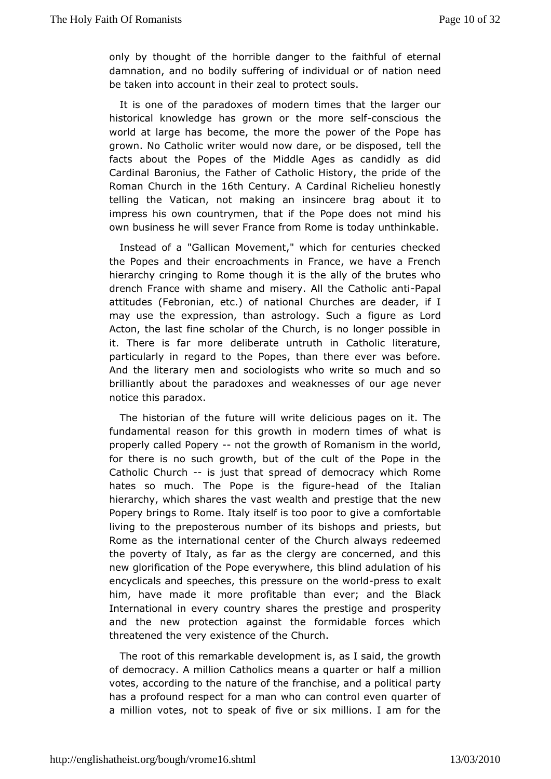only by thought of the horrible danager full otheeternal damnation, and no bodily suffering of imadtivoird urae eodr of be taken into account in their zeal to protect souls.

It is ne of the paradoxes of modern times that the larger c historical knowlheadsgegrown or the moconstratious the world at large has become, the pornwo erre othe the Pope has grown. No Catholic writer would now dare, tell bte edisposed, facts about the Popes of the Middle Ages as candidly as Cardin Baronius, the Father of Catholic History, the pride of Roman Church in 6the Century Cardinal Richelieu honestly telling the Vatican, not manksing cearne brag about it to impress his own countrymen, that if the mPopole holioses not own business he will sever France fromu Ritchminek as theoday

Instead of a "Gallican Movement," which for centuries che the Popes and their encroachments in France, we have a Fr hierarchy crintopin Pogome though it is the ally of the brutes who drench France with shammise and All the CathoPlace anti attitudes (Febronian, etc.) of hund hoensalare deader, if I may use the expression, than astrology as uthord figure Acton, the last fine scholar of the Church, is no longer poss it. There is far more deliberate untruth in Catholic literat particularly eignard to the Popes, than there ever was before. And the literary mesnocal onlogists who write so much and so brilliantly about the paradwox as has also four age never notice this paradox.

The historian offutthee will write delicious pages on it. The fundamental reason for this gonowlehin times of what is properly called Popetythe growth of Rommanism world, for there is no such growth, but of the cult of the Pope in Catholic Church just that spread of democracy which Rome hates so mudThe Pope is the -hiegaudre of the Italian hierarchy, which shares wealth and prestige that the new Popery brings to Rome. Italy itset of igsivt@ capccomm fortable living to the preposterous number of its intensional production of Rome as the international center of the Church always redee thepoverty of Italy, as far as the clergy are concerned, and new glorificaotfict he Pope everywhere, this blind adulation of hi encyclicals and spebeicsh possessure on the presention exalt him, have made it more profitabler; thand the Black International in every country shares the ropspetige and and the new protection against the formidable forces wh threatened very existence of the Church.

The root of this remarkable developp mesaid, the growth of democracy. A million Catholics meamhsala aqumairitieionor votes, according to the nature of the franchips art pand a political has a profound respect for a man who can control even quart a million tes, not to speak of five or six millions. I am for t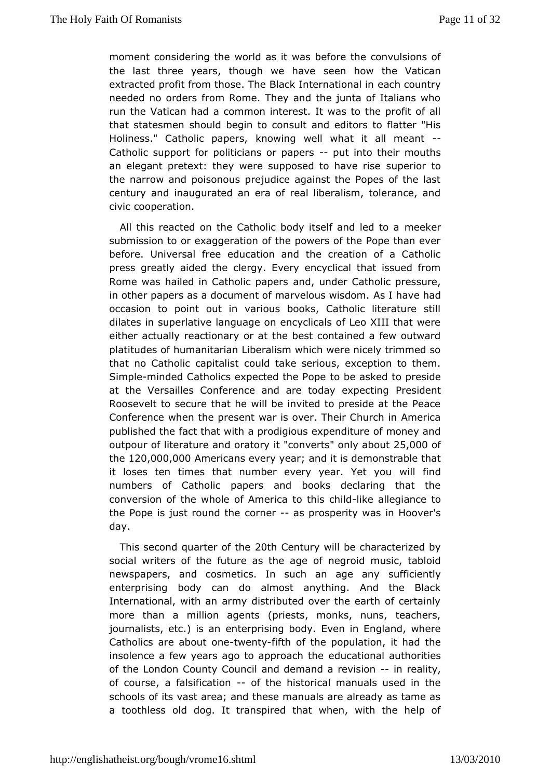moment considerinwoothde as it was before the convulsions of the last three years, though sween have the Vatican extracted profit from those. The Black enatcenr necotuion thray in needed no orders from Rome. They and the junta of Italians runthe Vatican had a common interest. It was to the profit of that statesms anould begin to consult and editors to flatter "His Holiness." Catholic kapwing well what it all--meant Catholic support for politicians pout pion beaches mouths an elegant pretext: they were supposed tupe hiave torise the narrow and poisonous prejudice against the Popes of the century and inaugurated an era of real liberalism, tolerance civicooperation.

All this reacted on the Catholic body itsmelerand led to a submission to or exaggeration of the powers of the Pope than beforeUniversal free education and the creation of a Cathc press greatly aided ether. Every encyclical that issued from Rome was hailed in Catholand papeder Catholic pressure, in other papers as a document of marv&soushawies dhoand. occasion to point out in various books, Catholic literature dilates in superlative language on encyclicals of Leo XIII tha eitheactually reactionary or at the best contained a few outw platitudesh of manitarian Liberalism which were nicely trimmed s that no Catholic capould bistake serious, exception to them. Simpleninded Catholics expected to h be Pape and to preside at the Versailles Conference and are to Pot a web ecting Roosevelt to secure that he will be invited to preside at the Conference when the present war is over. Their Church in Am published ftamet that with a prodigious expenditure of money an outpour of literatuorea and ritonverts nly abo2u5,000 of the120,000,000 mericans every ay nedart is demonstrable that it loses ten times that number every ywald. fYned you numbers of Catholic papers and books declaring that t conversion tho e whole of America to -thkie ahlied pliance to the Pope is just round nterre as prosperity was in Hoover's day.

This second quarter 2 oth toentury will be characterized by social writers of the future as ntehgeroaiglemoufsic, tabloid newspapers, and cosmetics. In such an flage entaly y enterprising body can do almost anything. And the Bla International, with an army distributed over the earth of certain more than maillion agents (priests, monks, nuns, teachers, journalists, etc.) ensteaprising body. Even in England, where Catholics are abouw eant  $f$  if the population, it had the insolence a few years ago to appduccand home authorities of the London County Council and demanion rae arleity sion of course, a falsificatiome historical manuals used in the schools of its vast area; and these manuals are already as ta a toothlessed dog. It transpired that when, with the help of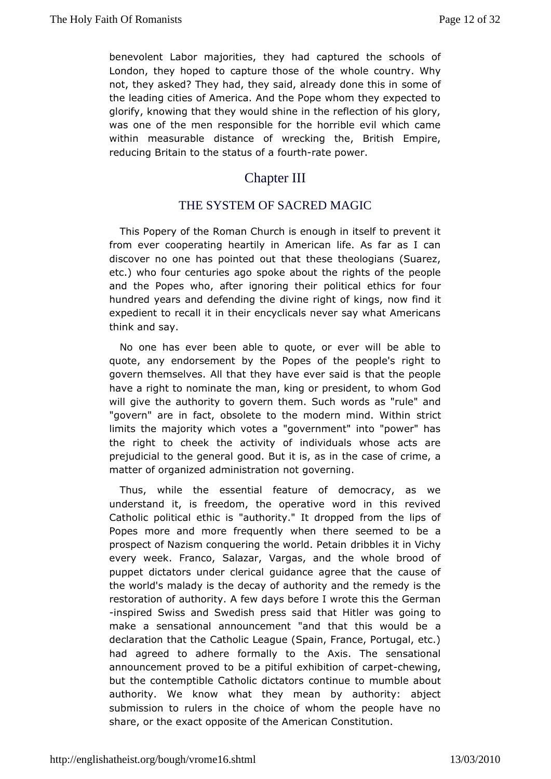benevolent Labor maibretvies, ad captured the schools of London, they hoped to capture thot hold cot ot the try. Why not, they asked? They had, they said, alrees and yed of he this in the leading cities of America. And the Pope whom they expected to glorify, knowing that they would shine in the reflection of his was onef the men responsible for the horrible evil which ca within measuradist ance of wrecking the, British Empire, reducing Britain to the statushafeapower.

# Chapter III

## THE SYSTEM OF SACREIMAGIC

This Popery of the Roman Church is enough in itself to prev from ever cooperating heartily in American life. As far as discover no boase pointed out that these theologians (Suarez, etc.) who four centurs ess kæg about the rights of the people and the Popes who, after ignoproi**hig** ictalleier thics for four hundred years and defending the divine nroightimed kings, expedient to recall it in their encyclicals never say what Ame think and say.

No one has ever been able to quote, or ever will be able quote, any endorsement by the Popes of the people's righ govern themsel wild sthat they have ever said is that the people have a right to nominmaten, theing or president, to whom God will give the authority to govern wthemes. as u chule" and "govern" are in fact, obsolete to the moderstrimothd. Within limits the majority which votes a "government" into "power" the righto cheek the activity of individuals whose acts ar prejudicial to the gened cabut it is, as in the case of crime, a matter of organized admimicst roadivoen ning.

Thus, while the essential feature of democracy, as we understand it, is freedom, the operative word in this rev Catholic polid thad is "authority." It dropped from the lips of Popes more and more frewghueemtlyhere seemed to be a prospect of Nazism conquering the dwobbldes  $P$  ettain Vichy every week. Franco, Salazar, Vargas, and the whole brood puppet dictators under clerical guidance agree that the cau the worlomalady is the decay of authority and the remedy is the restoration of authofrety.days before I wrote this the German -inspired Swiss and Swedish phrasts Histaland was going to make a sensational announcement "and that athis would be declaration that the Catholic League (Spain, France, Portugal had agreed to adhere formally to the Axis. The sensatior announcement proved a tpito bul exhibition of hoeawipnegt, but the contemptible Catholic od its alternation mumble about authority. We know what they mean by authority: abject submission to rulers in the choice of whom the people have share, or  $\texttt{ékact}$  opposite of the American Constitution.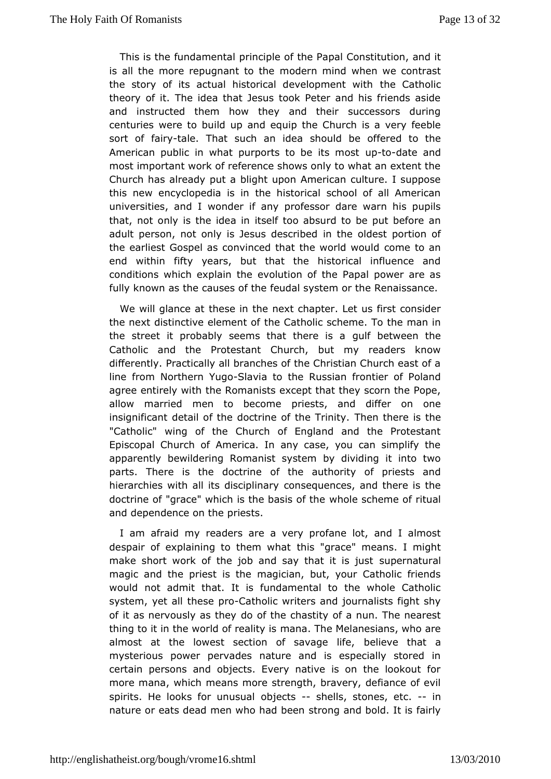This is the fundame notable of the Papal Constitution, and it is all the more repugnamiotobenthemind when we contrast the story of its actual historical develhoepmCeanthowicth theory of it. The idea that Jesus took Peter and his friends and instructed them how they and their successors duri centuries were toupualndd equip the Church is a very feeble sort of fatiarlye. That such anshioduelad be offered to the American public in what purports toub-to-ditastement most important work of reference shows only to what an exten Church has already put a blight upon American culture. I sup this newncyclopedia is in the historical school of all Ameri universities, awnodholer if any professor dare warn his pupils that, not only is the itdelaf it to absurd to be put before an adult person, not only is Jesus ndtebsec robdeeds t portion of the earliest Gospel as convinced that the mweordd awnould end within fifty years, but that the historical influence conditions which explain the evolution of the Papal power a fully known hees causes of the feudal system or the Renaissance

We will gland the asste in the next chapter. Let us first consider the next distinctive elementabliolic scheme. To the man in the street it probably seems that quile the envean the Catholic and the Protestant Church, but my readers kn differently. Practically all branches of the Christian Church e linefrom Northern - Sollang and to the Russian frontier of Poland agree entirely the the manists except that they scorn the Pope, allow married men to beciests, and differ on one insignificant detail of the doctrine Tolfetheth Terienity. the "Catholic" wing of the Church of England and the Protes Episcopal Church of America. In any case, you can simplify apparent bewildering Romanist system by dividing it into two parts. There is the doctitime authority of priests and hierarchies with all its dissonispelionuaerry ces, and there is the doctrine of "grace" which is the whole and the basis of ritual and dependence on the priests.

I am afraid meyaders are a very profane lot, and I almost despair of explaining to thems what the " means. I might make short work of the job and say thap eintn asujuast magic and the priest is the magician, but, your Catholic fr would not admit that. It is fundamental to the whole Cath system, yet thad be ploatholic writers and journalists fight shy of it as nervously adso to he the chastity of a nun. The nearest thing to it in the world of mean and it  $\bar{y}$  hiss Melanesians, who are almost at the lowest section of sbaevlaiguee litfreat a mysterious power pervades nature and is especially store certain persons and objects. Every native is on the lookou more mana, which ns more strength, bravery, defiance of evil spirits. He looks for while suital shells, stones,-- einc. nature or eats dead men who shrad hop exempt bold. It is fairly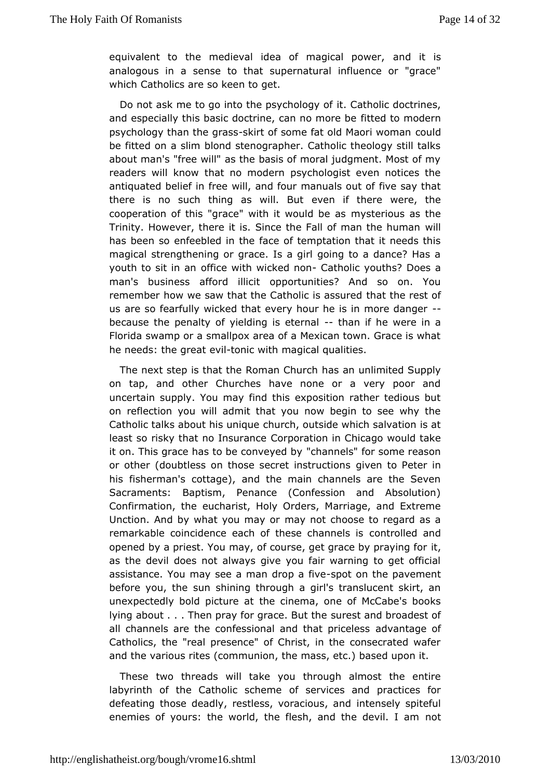equivalent to the medieval idea of maganidalitions wer, analogous in a sense to that supernatural influence or "gi whichCatholics are so keen to get.

Do not ask me to go into the psixt chology line doctrines, and especially this basic doctrine, cfantend tro ome deern psychology than theskgirds as some fat old Maoro widman be fitted on a slim blond stenographer. Catholic theology stil about man's "free will" as the basis of moral judgment. Most readers wkind bw that no modern psychologist even notices the antiquated belief wrill, rea end four manuals out of five say that there is no such thing as ewithen Butthere were, the cooperation of this "grace" with it mww studed ideus as the Trinity. However, there it is. Since the Fall owfilman the huma has been so enfeebled in the face of temptation that it need magical trengthening or grace. Is a girl going to a dance? Ha youth to sit i**o**ffaine with wicked antohnolic youths? Does a man's business affordopipibintiunities? And so on. You remember how we saw that the Catholica is the sure is dof us are so fearfully wicked that every hour he is in more dang because the penalty of yielding-fhamete final were in a Floridsawamp or a smallpox area of a Mexican town. Grace is w he needs: the  $\theta$  we hand nic with magical qualities.

The next step is that the Romans Cahuwahimited Supply on tap, and other Churches have none or a very poor a uncertain supply. You may find this exposition rather tediou on reflecty on will admit that you now begin to see why the Catholic talks about hichund queoutside which salvation is at least so risky that no ICsupamation in Chicago would take it on. This grace has to be c'omhvæny needlsb"y for some reason or other (doubtless on those secregimesntructions are in his fisherman's cottage), and the main channels are the  $S_{\perp}$ Sacraments: Baptism, Penance (Confession and Absoluti Confirmation, ethcharist, Holy Orders, Marriage, and Extreme Unction. And by what you many ay moth choose to regard as a remarkable coincidence each of these on thrand heed sansd opened by a priest. You may, of course, get griace by praying as the devil does not always give you fair warning to get o assistance. You may see a man-soprootpoon ftilvee pavement before you, sthe shining through a girl's translucent skirt, and unexpectedly bold picthue eciantema, one of McCabe's books lying about . . . Then pray for grau rest Bannich hear oadest of all channels are the confessional and a dhomath that geedess Catholics, the "real presence" of Christ, in the consecrated and the various rites (communion, the mass, etc.) based upon

These twot reads will take you through almost the entire labyrinth of the Catholic of steam eces and practices for defeating those deadly, restless, vorrtaecri**se**lsy, sappideful enemies of yours: the world, the flesh, and ntohte devil. I am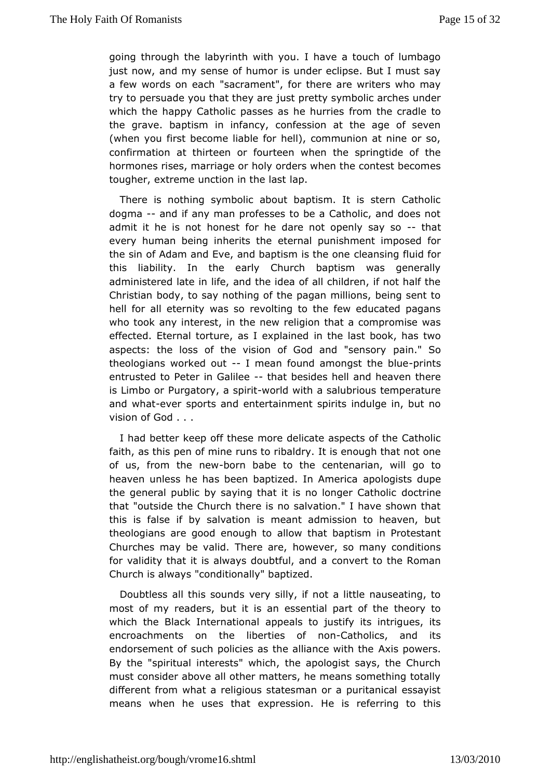going through the labyrinth with you. I have a touch of lumb just now, nd my sense of humor is under eclipse. But I must s a few words on "esacchament", for there are writers who may try to persuade you that ithe wometh symbolic arches under which the happy Catholic passes asomether cireasdle to the grave. baptism in infancy, confession at the age of  $s_{\pm}$ (when you first become liable for hell), communion at nine o confirmation thirteen or fourteen when the springtide of the hormones rises, marrhage conders when the contest becomes tougher, extreme unction imaphe last

There is nothing symbolic about baptism. It is stern Cath dogma-and if any man professes to be a Catholic, and does no admit it he ishootst for he dare not open-ly ths any so every human being inheettes rntahle punishment imposed for the sin of Adam and Eve, and baptishe as a stiling of huaid for this liability. In the early Church baptism was general administered late in life, and the idea of all children, if not I Christian body, to say nothing of the pagan millions, being sent hell for eat ternity was so revolting to the few educated pagan who took any interelse, niew religion that a compromise was effected. Eternal torture, as ilnet red aliansetd book, has two aspects: the loss of the vision of God paind." Seen sory theologians worked lomtean found amongst the intitsue entrusted to Peter in-Gabile besides hell and heaven there is Limbo Pourrgatory, a swpoir**id** with a salubrious temperature and what ver sports antertainment spirits indulge in, but no vision of God . . .

I had betkeerep off these more delicate aspects of the Cathol faith, as this pen outmsine ribaldry. It is enough that not one of us, from the-boew babe to demetenarian, will go to heaven unless he has been baptizedapbnoginsesidape the general public by saying that it is nodbocn gione Catholic that "outside the Church there is no salvation." I have shown thisis false if by salvation is meant admission to heaven, theologians are egnooudgh to allow that baptism in Protestant Churches may be valid. The wee age, so many conditions for validity that it is always doubtuture that a Roman Church is always "conditionally" baptized.

Doubtleast this sounds very silly, if not a little nauseating, most of my readbeurts, it is an essential part of the theory to which the Black Intermaptoional to justify its intrigues, its encroachments on the libentomesCatchfolics, and its endorsement of such policies as the alAixainscreowwited this the By the "spiritual interests" which, the apologist says, the C must consider above all other matters, he means something to different fiom mat a religious statesman or a puritanical essayi means when he uses exto hat saids in. He is referring to this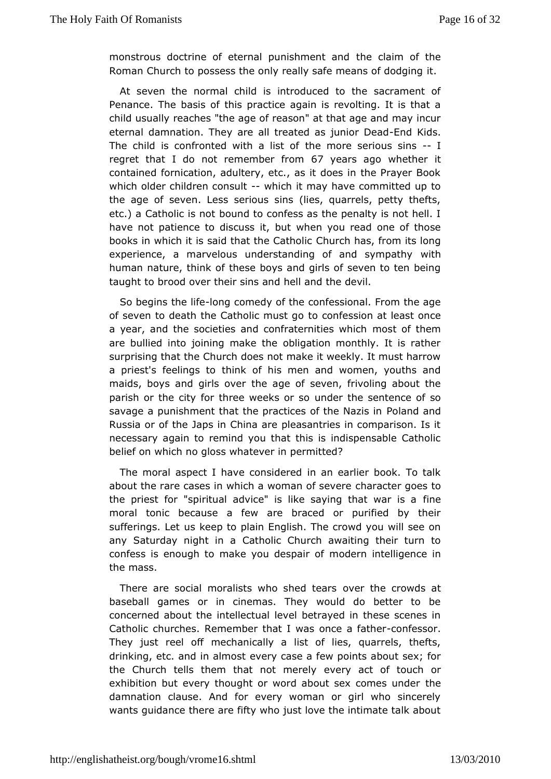monstrous doctrine of eternal punitshing mental the Roman Church to possess the only really safe imeans of dodgi

At seven the normal child is introduced to the sacrament  $P$ enanc $\overline{\Phi}$ he basis of this practice again is revolting. It is that child usuale a whese "the age of reason" at that age and may incurrent eternal damnation.and eayll treated as junion dDKs adds. The child is confronted with he mistreofserious--slins regret that I do not rememb6e7r vferaoms agwohether it contained fornication, adultery, etc., as it does in the Praye which older children-ewhischtit may have committed up to the age solven. Less serious sins (lies, quarrels, petty thef etc.) a Catholic bissum odt to confess as the penalty is not hell. I have not patience to dibut swhitt you read one of those books in which it is said that Chheur Centhroatic from its long experience, a marvelous understanding of waint by mpathy human nature, think of these boys and girls of seven to ten taught borood over their sins and hell and the devil.

So begins the olnic pomedy of the confessional. From the age of seven to death the Catholic mounsfite spoion at least once a year, and the societies and confratmensitties twhemeh are bullied into joining make the obligation monthly. It is r surprising that the Church does not make it weekly. It must ha a priest's selings to think of his men and women, youths and maids, boys and girltsheovaegre of seven, frivoling about the parish or the city for three wuered the some ntence of so savage a punishment that the practices Poollahmed Mandis in Russia or of the Japs in China are pleasantries in compariso necessary again to remind you that this is indispensable Ca belief which no gloss whatever in permitted?

The moral aspect I have comsade eadlier book. To talk about the rare cases in which a womcharacts ervenes to the priest for "spiritual advice" is like sayifrigethat war is moral tonic because a few are braced or purified by th sufferings.ulsekeep to plain English. The crowd you will see o any Saturday nightCanthalic Church awaiting their turn to confess is enough to make you mobe obseprani rinot felligence in the mass.

There are social moralists who os read the acsowds at baseball games or in cinemas. They would do better to concerned about the intellectual level betrayed in these sce Catholic churches. Remember that I was oncocen fae sfsead her They just reelmethanically a list of lies, quarrels, thefts, drinking, etc. and ine alm p sctase a few points about sex; for the Church tells them that noetvernyeralcyt of touch or exhibition but every thought or word about stehxe comes under damnation clause. And for every woman or girl who since wants guidathce e are fifty who just love the intimate talk about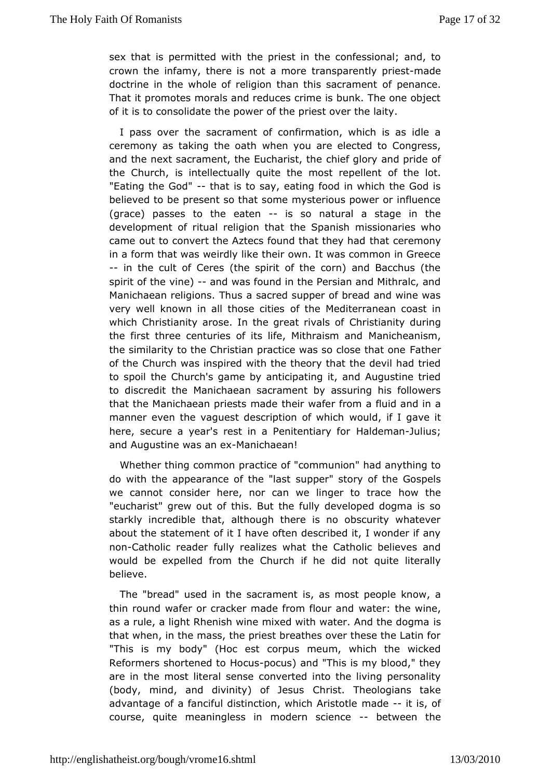sex that is permittet the with the st in the confessional; and, to crown the infamy, there is not tansparently ponized set doctrine in the whole of religion than bhis pespectrume ent That it promotes morals and reduces crime is bunk. The one of ofit is to consolidate the power of the priest over the laity.

I pass ovtehre sacrament of confirmation, which is as idle  $i$ ceremony as taking the bath ou are elected to Congress, and the next sacrament, the Eucheenfisctloriveand pride of the Church, is intellectually quite the oriother dotellent "Eating the Goth at is to say, eating food in which the God is believed to be present so that some mysterious power or infle  $(grace)$  passes the eatenis so natural a stage in the development of ritual relighen Sphantish missionaries who came out to convert the Aztecs found thhaat ctehree ymbad in a form that was weirdly like their own. It was common in G -- in the cult of Ceres (the spirit of the corn) and Bacchus spirit of  $\psi$ hee)-and was found in the Persian and Mithralc, and Manichaean relid houns a sacred supper of bread and wine was very well known in all thoosfethcoetines diterranean coast in which Christianity arose. In the g Ceharti srtiivaanlist youturing the first three centuries of its life, MMathricanies amniamd the similarity to the Christian practice was  $F<sub>s</sub>$  at that one of the Church was inspired with the theory that the devil had tospoil the Church's game by anticipating it, and Augustine to discredit Mheichaean sacrament by assuring his followers that the Manichaean priesheim ade for from a fluid and in a manner even the vaguest descriptiwonubd, which ave it here, secure a year's rest in a Pehiatled retimanadory lifus; and Augustine was Maan exhaean!

Whether thing compresentice of "communion" had anything to do with the appearance of stubpepe tast ory of the Gospels we cannot consider here, nor can we limoger the trace "eucharist" grew out of this. But the fully developed dogma starkly incredible that, although there is no obscurity what about ths eatement of it I have often described it, I wonder if any nonCatholic readdelry realizes what the Catholic believes and would be expelled from the fChheurd child not quite literally believe.

The "bread" used in the sixe rannsembst people know, a thin round wafer or cracker made from anteriouthean wdine, as a rule, a light Rhenish wine mixed with wates. And the dog that when, in the mass, the priest breathes over these the  $La<sup>o</sup>$ "This imay body" (Hoc est corpus meum, which the wicked Reformers shorten Head the pocus) and "This is my blood," they are in the most literados westeed into the living personality (body, mind, and divinity)  $6$ fhri $\frac{1}{2}$ etsusTheologians take advantage of a fanciful distinction, whaidden-Atriisstoolfe course, quite meaningless in modernbestwieen the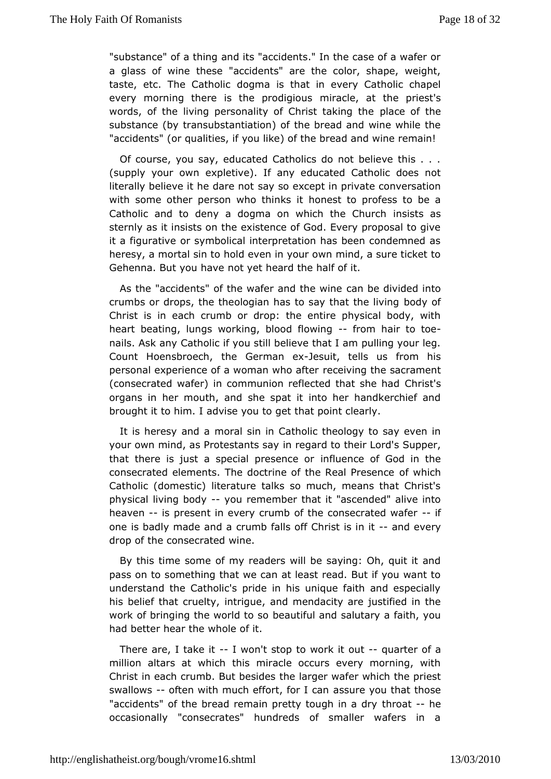"substance" of a thing and its "accidents." In the case of a w a glass wine these "accidents" are the color, shape, weigh taste, etc. The Cadtohoponhiac is that in every Catholic chapel every morning there is the pomordaiquique usat the priest's words, of the living personality of Chpilsatceta beinghethe substance (by transubstantiation) of the bread and wine whil "accidents" (or qualities, if you like) of the bread and wine re

Ofcourse, you say, educated Catholics do not believe this (supply your ewpletive). If any educated Catholic does not literally believe it he schay es on orthogot in private conversation with some other person who hto himests tid profess to be a Catholic and to deny a dogma on whichinsheet s Chaurch sternly as it insists on the existence of God. Every proposal it a figurative or symbolical interpretation has been condemn heresy, maortal sin to hold even in your own mind, a sure ticket Gehenna. But youn bay et heard the half of it.

As the "accidents" of the wafer acmach the edwivided into crumbs or drops, the theologian has to sabotchy ato the living Christ is in each crumb or drop: the entire physical body, heartbeating, lungs working, blood ff bonwing ir to- toe nails. Ask Catholic if you still believe that I am pulling your I Count HoensbroechGethmean -desuit, tells us from his personal experience of a womanewholoinafotethe sacrament (consecrated wafer) in communion reflecteCdhthsatt'sshe had organs in her mouth, and she spat it into her handkerchief brought to him. I advise you to get that point clearly.

It is heresy amotral sin in Catholic theology to say even in your own mind, as Protestantesgaad to their Lord's Supper, that there is just a special pirrefst ence oof God in the consecrated elements. The doctrine of the fRwelailc Presence Catholic (domestic) literature talks so much, means that Ch physical living -body remember that it "ascended" alive into heaven-ispresent in every crumb of the conseciated wafer one is badly made cannot ba falls off Christ- as n dinewery drop of the consewiated

By this time some of my readers will be saying: Oh, quit it passon to something that we can at least read. But if you wan understand Chaetholic's pride in his unique faith and especial his belief that criuentity we, and mendacity are justified in the work of bringing the wobled a tuo ifsuol and salutary a faith, you had better hear the whole of it.

Therare, I take-it won't stop to work-ique unter of a million altars whath this miracle occurs every morning, with Christ in each crumb. Butthbelsaindepes rwafer which the priest swallows often with much effort, assure a you that those "accidents" of the bread remain pretty thonogent-ime a dry occasionally "consecrates" hundreds of smaller wafers i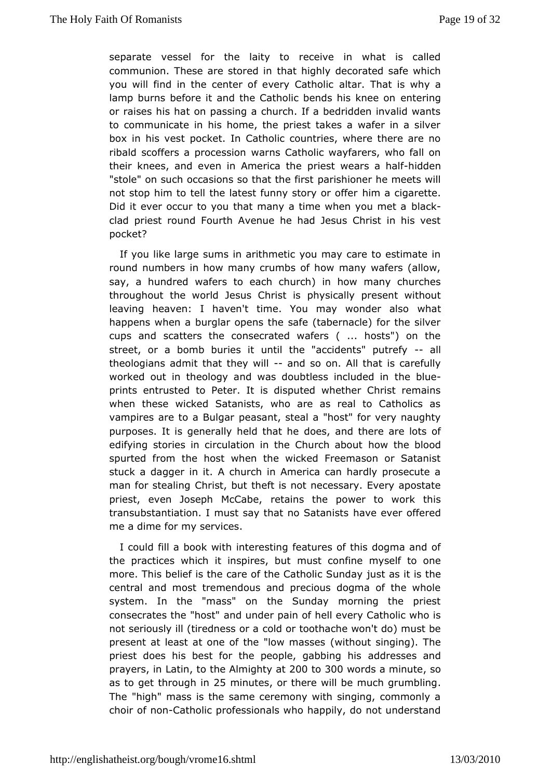separat essel for the laity to receive in what is calle communion. These are sttoated iighly decorated safe which you will find in the center of evælrtyarCaTthatids why a lamp burns before it and the Catholic benedete his aknee on or raises his hat on passing a church. If a bedridden invalid to communicate in his home, the priest takes a wafer in a si box in his weestket. In Catholic countries, where there are no ribald scoffers a proveærs resion Gatholic wayfarers, who fall on their knees, and even in Amperiecsat twheears ahindadien "stole" on such occasions so tphaantisthieonfiernsthe meets will not stop him to tell the latest funny hsimoray coirgao feetre. Did it ever occur to you that many a time whhen tyou met a clad priest round Fourth Avenue he had Jesus Christ in his pocket?

If you like large sums in arithmetic you may care to estima round numbers in how many crumbs of how many wafers (all say, a hundweaders to each church) in how many churches throughout the world Jesus pahistally present without leaving heaven: I haven't time. You may wwhat der also happens when a burglar opens the safe (tabernacle) for the cups ansdcatters the consecrated wafers (... hosts") on the street, or a bomb buurinetis itthe "accidents" -puatrilefy theologians admit that they dwill on. All that is carefully worked out in the ology and was doubtle shee intertuaned in prints entrusted to Peter. It is disputed whether Christ ren whenthese wicked Satanists, who are as real to Catholics vampires are to a Beat sant, steal a "host" for very naughty purposes. It is generally heddetshaanhee there are lots of edifying stories in circulation in the how with a booaud spurted from the host when the wicked Freemason or Sata stucka dagger in it. A church in America can hardly prosecut man for steaCihng st, but theft is not necessary. Every apostat priest, even Joseph Mrectailnes, the power to work this transubstantiation. I must say that hmao eS as tween is so that a red me a dime for my services.

I could fill a booikn tweirtehis ting features of this dogma and of the practices which it inspoints, chountine myself to one more. This belief is the care of the Cjautshtoalisc iSfulns dtahye central and most tremendous and precious dogma of the wh system. In the "mass" on the Sunday morning the priest consecrates the "almodst" and the pain of hell every Catholic who is not seriously ill (tiredaescs corr two thache won't do) must be present at least at one of the "(wowthrout see aging). The priest does his best for the people, addarbebsisnegs hains d prayers nLatin the Almight 2y0 @tto300 words a minsude as to get through minuteer there will be much grumbling The "higm ass is the same ceremony with singing, commonly  $\alpha$ choir of noantholp cofessionals who happily, do not understand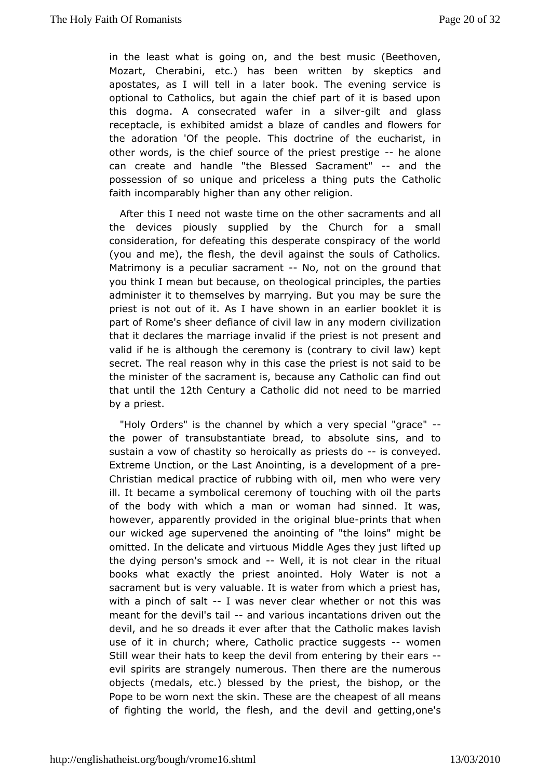in the least what is going the best music (Beethoven, Mozart, Cherabini, etc.) has been written and uy skeptics apostates, as I will tell in a later book. The evening serv optionad Catholics, but again the chief part of it is based up this dogma.consecrated wafer in a jilsilared glass receptacle, is exhibited balanides bfacandles and flowers for the adoration 'Of the people. This the bocetur crheariosft, in other words, is the chief source of the-phieealtopeestige can create and handle "the Blessed -Sandambet" possession ounsque and priceless a thing puts the Catholic faith incomparably higher than er religion.

After this I need not waste time sacramenth sand all the devices piously supplied by the Church for a sm consideration, for defeating this desperate conspiracy of the (you ande), the flesh, the devil against the souls of Catholi Matrimony ipseauliar sacrament, not on the ground that you think I mean but becathes, logical principles, the parties administer it to themselves by Buntaryow in may be sure the priest is not out of it. As I have show moonklan idearstier part of Rome's sheer defiance of civil lawivin iany iomodern that it declares the marriage invalid if the praest is not prese valid if he is although the ceremony is (contrary to civil law secret. The real reason why in this case the priest is not said to the ministethef sacrament is, because any Catholic can find of that until 12th Centuay Catholic did not need to be married by a priest.

"Holy Orders" is htamenel by which a very special "grace" the power of transubstantiate bobesandute sins, and to sustain a vow of chastity so heroically is scpniess ted o Extreme Unction, or the Last Anointing, is a pdreevelopment of  $i$ Christian medical practice of rubbing with oil, men who were ill. It ecame a symbolical ceremony of touching with oil the parts of the body wwith hch a man or woman had sinned. It was, however, apparently providoerd gim ath bout ents that when our wicked age supervened the anoihotims" on ight ebe omitted. In the delicate and virtuous Middlleft Aegde apthey just the dying person's smock and dit is not clear in the ritual books what exactly the priest anointed. Holy Water is no sacrament bwteis valuable. It is water from which a priest has with a pinch of-slawtas never clear whether or not this was meant for the devil- $\sin t$  and  $\sin t$  incantations driven out the devil, and he so dreads it eveth af teath to hair makes lavish use of it in church; where, Catholic practwomenuagests Still wear their hats to keep the devil from entering by their evil spirits are strangely numerous. Then there are the numerous object&medals, etc.) blessed by the priest, the bishop, or t Pope to be wornthe extkin. These are the cheapest of all means of fighting the world, the ndfletse, devil and getting, one's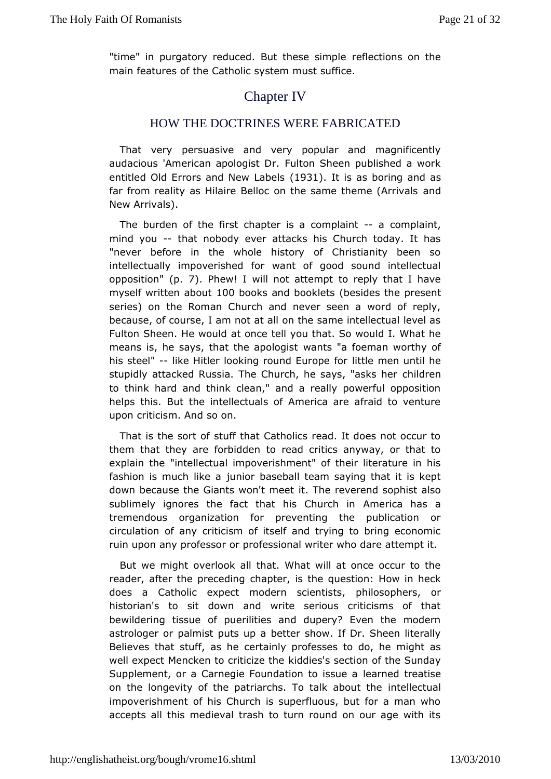"time" in purgatory reduced. But theefslection musile on the main features of the Catholic system must suffice.

# Chapter IV

#### HOW THE DOCTRINES WERE FABRICATED

That verpersuasive and very popular and magnificently audacious 'American apolFouglitsotn DSs heen published a work entitled Old Errors and New 3 habelissas boring and as far from reality as Hilaire Belloc on the samentheme (Arrival New Arrivals).

The burden of the first chapter is- $aa$  commplizaint, mind you-that nobody ever attacks his Church today. It has "neverbefore in the whole history of Christianity been s intellectually impovefoirshweatht of good sound intellectual opposition. 7). Phew! will not attermpreply that I have  $m$  vself written alb $0$ o $0$ ubtooks and boo $0$ bleest $\bar{s}$ des tohreesent series) on the Roman Church and never seen a word of re because, course, I am not at all on the same intellectual level Fulton Sheen. He awto unide tell you that. So would I. What he means is, he says, that the wap os bog as foeman worthy of his steel"like Hitler looking round Euttoopem eonr until he stupidly attacked Russia. The Church, he chaily osneshes her to think hard and think clean," and a really powerful oppos helpsthis. But the intellectuals of America are afraid to ven upon criticisms of nod.

That is the sort of stuff that Catholics read. It does not oc them that they are forbidden to read critics anyway, or that explain the ellectual impoverishment" of their literature in h fashion is much juke oa baseball team saying that it is kept down because the Giants widn't here  $e e$  verend sophist also sublimely ignores the fact that his AmCerruicrahhens a tremendous organization for preventing the publication circulation of any criticism of itself and trying to bring eco ruin upoamy professor or professional writer who dare attempt

But we migohterlook all that. What will at once occur to the reader, after the precheapitreg, is the question: How in heck does a Catholic expect modern pshcill ensiting the rs, or historian's to sit down and write serious criticisms of bewildering tissue of puerilities and dupery? Even the mo astrologerpalmist puts up a better show. If Dr. Sheen literal Believes that stuff, centraliely professes to do, he might as well expect Mencken to critiched zests esection of the Sunday Supplement, or a Carnegie Foundatibenant be issue a aise on the longevity of the patriarchs. To trattellær townal the impoverishment of his Church is superfluous, but for a man accepts all this medieval trash to turn round on our age with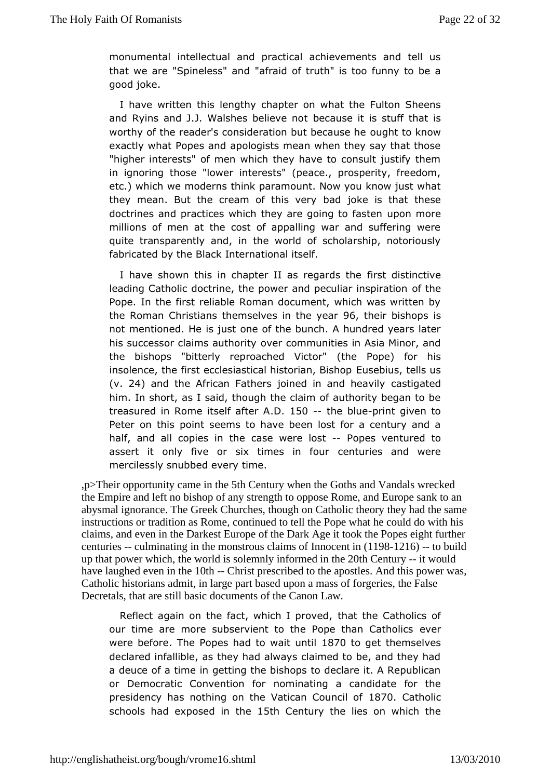$m$  onumental intellectual and practical achievements and tell  $u$ that we are "Spinelesal raind of truth" is too funny to be a good joke.

I have written lemigsthy chapter on what the Fulton Sheens and Ryins and J.J. Walshes **bedævs**endttis stuff that is worthy of the reader's consideration boutghed out become exactly what Popes and apologists mean when they say that t "higher interests" of men which they have to consult justify in ignorith gose "lower interests" (peace., prosperity, freedor etc.) which we motche noksparamount. Now you know just what they mean. But the cream of bads jokey is that these doctrines and practices which they are gpomgmoreasten millions of men at the cost of appalling war and suffering quitetransparently and, in the world of scholarship, notorious fabricated by Black International itself.

I have shown this in chapter II as fires dad stitheetive leading Catholic doctrine, the power and peccfulier inspiration Pope. In the first reliable Roman document, which was writte theRoman Christians themselves i9n6, the the ivelairshops is not mentionedisHiest one of the bunch. A hundred years later his successor claims wwtthocidmmunities in Asia Minor, and the bishops "bitterly reproached the Vietcopre" for his insolence, the first ecclesiastical hEsutoeibain, Bishlospus (v. 24) and the African Fathers joined incastighed and ily him. In short, as I said, though the claim of authority began treasured in Rome itselD. after- the bluperint given to Peter on thosint seems to have been lost for a century and  $a$ half, and all copies carse the ere los Ropes ventured to assert it only five or six timecsenithurifoosurand were mercilessly snubbed every time.

,p>Their opportunitycame in the5th Century when the Goths and Vandals wrecked the Empire and left to bishop of any strength to oppose Rome, and Europe sank to an abysmalignorance. The Greek Churches, though on Catholic theory they had the same instructions or tradition as Rome, continued to tell the Pope what he coult that is claims, and even in the Darkest Europe of the Dark Age it too Rappes eight further centuries- culminating in the monstrous claims of Innocient 11981216 -- to build up that power which, the world is solemnly informing the 20th Century-- it would have laughed even in theth -- Christprescribed to the apostles. And this power was, Catholic historians admit, ilarge part based upon a mass of forgeries, the False Decretals, that are still asic documents of the Canon Law.

Reflect again on the fact, whicth alt pthoeveCdatholics of our time are more subservient to the Popeewhean Catholics were befole **Popes** had to wall 8700 to liget themselves declared fallible, as they had always claimed to be, and they a deuce of a time et tiim g the bishops to declare it. A Republican or Democratic Convention informating a candidate for the presidency has nothing on the Vatica 870 Cuanthollican schools had exposed 15th tho tury the lies on which the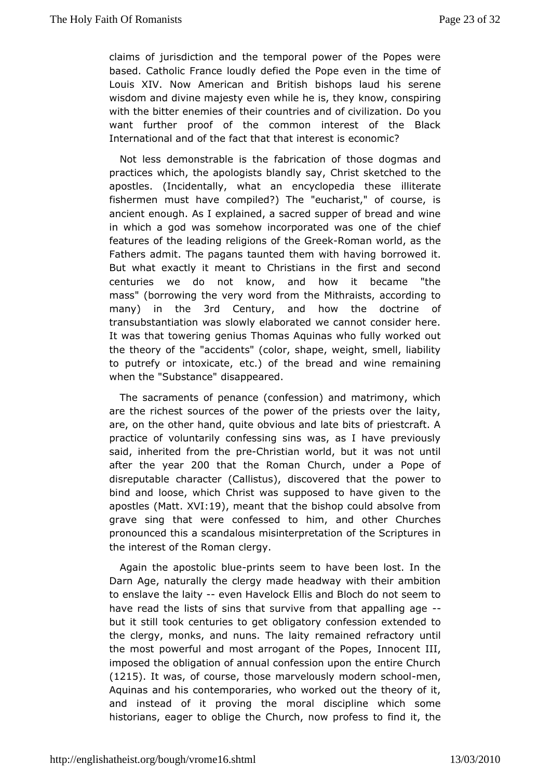claims of jurisdiction and the temporal power of the Popes based. Catholiance loudly defied the Pope even in the time o Louis XIV. Now AmericBinitianhd bishops laud his serene wisdom and divine majesty even whike the isonthewing with the bitter enemies of their countries and  $\nabla \Phi$  to ivilization. want further proof of the common interest of the Black International oant the fact that that interest is economic?

Not less demonstrable fails ritched ion of those dogmas and practices which, the apologists  $\mathbb{G}$  hand  $\mathbb{G}$  is  $\mathbb{G}$  and the the apostles. (Incidentally, what an encyclid piediatethese fishermen must have compiled?) The "eucharist," of course ancient enough. As I explained, a sacred supper of bread and w in which a god swems tow incorporated was one of the chief features of the leading rething  $\delta$  of  $\epsilon$  and world, as the Fathers admit. The pagans taunted the bow wid we daving But what exactly it meant to Christians in the first and se centuries we do not know, and how it became "the mass" (borrowing the vefin worth the Mithraists, according to many in the 3rd Century and how the doctoine transubstantiation was slowly elaborated we cannot consider It was thtaotwering genius Thomas Aquinas who fully worked ou the theory of "abceidents" (color, shape, weight, smell, liabilit to putrefy or intoxeitcat)e, of the bread and wine remaining when the "Substainscapp" peared.

The sacraments of penance (confession) and matrimony, wl are the richest sources of the power of the priests over the are, on tothe chand, quite obvious and late bits of priestcraft practice voofluntarily confessing sins was, as I have previous said, inherited fropmeChheristian world, but it was not until after the yeano that the RomCahrurch, under a Pope of disreputable character (Callistus), discopvoewred that the bind and loose, which Christ was supposed to have given to apostl $\notin \mathbb{N}$  att XV119), meant that the bishop could absolve from grave sing that weenfeessed to him, and other Churches pronounced this a scam dsainot espretation of the Scriptures in the interest of the Remogayn

Again the apostolipcribolituse seem to have been lost. In the Darn Age, naturally the clergy made headway with their amb to enslave lahiey-even Havelock Ellis and Bloch do not seem to have read the lists sofhat survive from that app-alling age but it still took centuriebligatoeny confession extended to the clergy, monks, and nuns. TeThe indective fractory until the most powerful and most arrogant  $\phi$  m ntchoce rPto  $\phi$ IIds, imposed the obligation of annual confession upon the entire C  $(1215.$  It was of cours the ose marvelously modern esnc, hool Aquinas and cbinstemporaries, who worked out the theory of it, and instead of it provimoprahediscipline which some historians, eager to oblige the Churcho nioned proftehses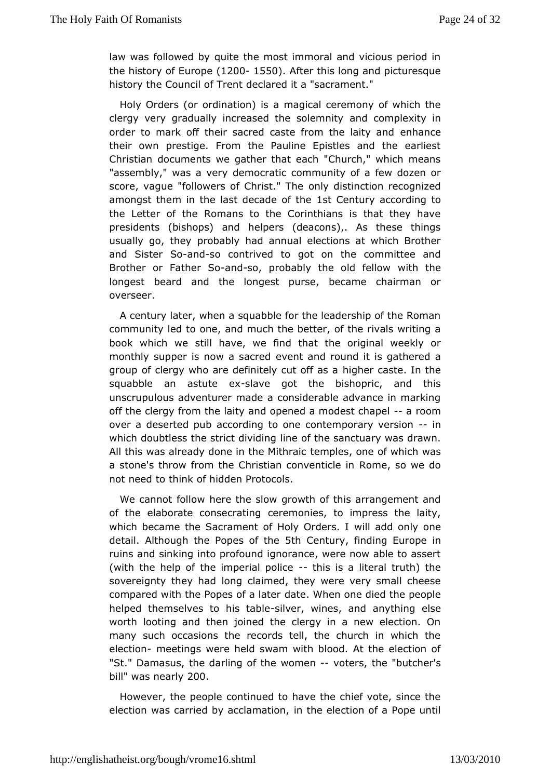law was followed by quite the most immoral and vicious period the history of  $E(Mr200001550)$ . After this long and picturesque history the uncil of Trent declared it a "sacrament."

Holy Orders (or ordinaation analgical ceremony of which the clergy very gradually increased the and colonemn blioty in order to mark off their sacred caste fromenthheen daity and their own prestige. From the Pauline Epistles and the ear Christian bouments we qather that each "Church," which mean "assembly," was adevment portatic community of a few dozen or score, vague "followers of Commist.disthetion recognized amongst them in the last decaste Coenthuaccording to the Letter of the Romans to the Corinthians is that they have presidents (bishops) and helpers (deacons),. As these th usually go, the whably had annual elections at which Brother and Sister-a Solso contrived qot on the committee and Brother or Fathearn  $d\mathbf{S}\mathbf{o}$ , probably the old wfith  $d$  both  $e$ longest beard and the longest purse, became chairman overseer.

A century later, when a squabble for the leadership of the R community led to one, and much the better, of the rivals writ book which swell have, we find that the original weekly or monthly supper is now æveen treachd round it is gathered a group of clergy who are definitely highte of the assiea in the squabble an astutselave got the bishopric, and this unscrupulous adventurer made a considerable advance in mar off the clefmoym the laity and opened a modesatrocomapel over a deserted a poud ording to one contemporary inversion which doubtless the strict indeviding the sanctuary was drawn. All this was already done in the en Mietsh, raoince of which was a stone's throw from the Christian cRoom wentsiolew endo not need to think of hidden Protocols.

We cannot folloon the slow growth of this arrangement and of the elaborate conseceration onlies, to impress the laity, which became the Sacrament of Howlyil O addersonly one detail Although the Popes 5th the mentury fyinding Europe ruins and sinking into profound ignorance, were now able to  $i$ (with the elp of the imperial--ptohlisce is a literal truth) the sovereignty theylo had claimed, they were very small cheese compared with the Popes  $\phi$  ate. In the none died the people helped themselves to his bivtearblewines, analyouthing else worth looting and then joined the clergy in a new election many such occasions the records tell, the church in which electiom eetingweere held swam with blood. At the election of "St." Damasus, the darlinwg metheoters, the "butcher's  $bi''$ lwas nea $2000$ 

However, the pecopoltenued to have the chief vote, since the election was carried by acchaminationline, ction of a Pope until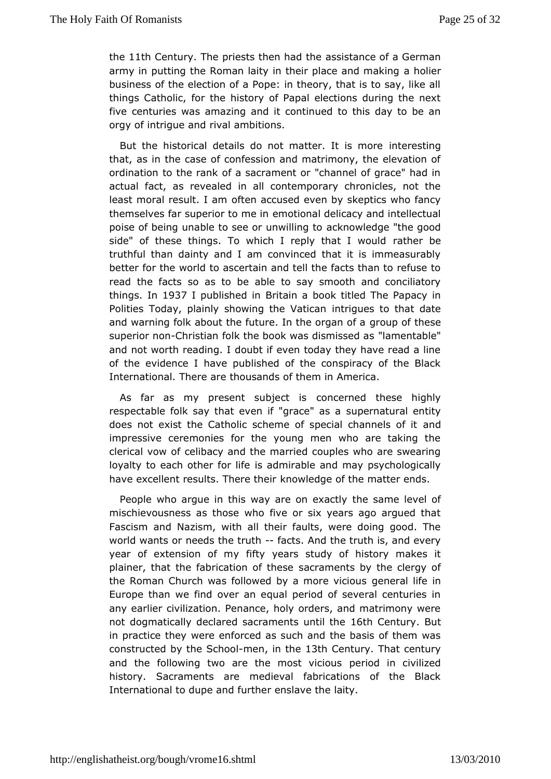the11th Centur Tyhe priests then haasds the ance of a German army in putting the Roman laity in their place bed making business of the election of a Pope: in theory, that is to say, things Catholic, for the history of Papal elections during the fivecenturies was amazing and it continued to this day to be orgy of intriguei and ambitions.

But the historical details do not matterrite te sitsing ore that, as in the case of confession and matrimony, the elevat ordination to the rank of a sacrament or "channel of grace"  $\mathsf h$ actual faat, revealed in all contemporary chronicles, not th least moral resultofteamaccused even by skeptics who fancy themselves far superior etro orhicorial delicacy and intellectual poise of being unable to see orach wowline of the good side" of these things. To which I reply rattheatr I bevould truthful than dainty and I am convinced that it is immeasur bettefror the world to ascertain and tell the facts than to refus read the faxdsas to be able to say smooth and conciliatory things n 1937 I publishe **B** riintain a book titled The Papacy in Polities Today, plainly showing inhe ig Viaentsictaon that date and warning folk about the future. In gheup ganthoesse superior nom ristian folk the book was distanmises net abde" and not worth reading. I doubt if even today they have read  $\epsilon$ of the evidence I have published of the conspiracy of the  $\Box$ Internation Table re are thousands of them in America.

As far as my present subcjoencolerinsed these highly respectable folk say that even if s'gpæceätasabentity does not exist the Catholic scheme of specian dchannels of i impressive ceremonies for the young men who are taking clerical vowe bifbacy and the married couples who are swearing loyalty to each otherisfor dimifierable and may psychologically have excellent results. Theowlehdege of the matter ends.

People who argue in this way are the ensex reext lley velof mischievousness as those who five or six years ago argued Fascism and Nazism, with all their faults, were doing good. world wants meeds the truthcts. And the truth is, and every year of extension  $\delta$  if tyny ears study of history makes it plainer, that the fabrication and fatter area by the clergy of the Roman Church was followed by a gneoneeraviting to any Europe than we find over an equal period of several centuri any earlier civilization. Penance, holy orders, and matrimony notdogmatically declared sacrament Sthun Creinthe Meyut in practice the enforced as such and the basis of them was constructed by the-mendipolthe3th Centurly hat century and the following two are the mostriod cionuscivilized history. Sacraments are medieval fabrications of the BI International to dupe and further enslave the laity.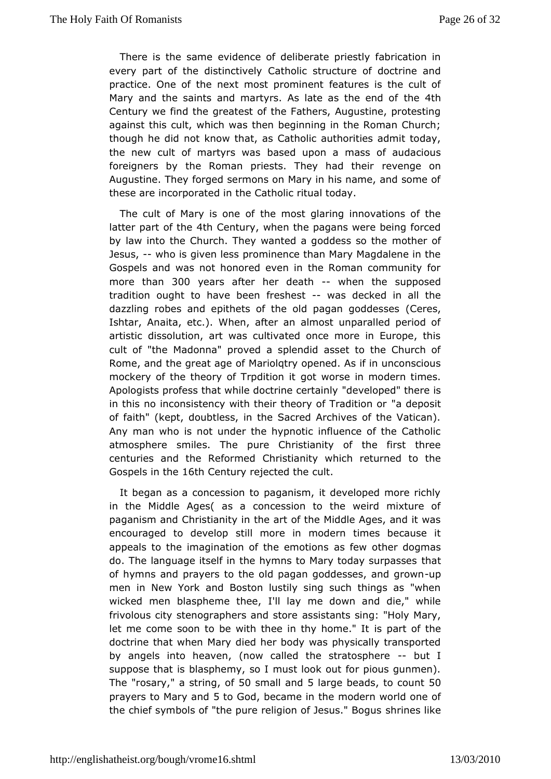There is the seawnide ence of deliberate priestly fabrication in every part of the disti@athodic structure of doctrine and practice. One of the next mostfor a buriense is the cult of Mary and the saints and martyrs. As late the saithe end of Century we find the greatest of the Fathers, Augustine, prote against this cult, which was then beginning in the Roman Ch though he dod know that, as Catholic authorities admit today the new cult of martybaswed supon a mass of audacious foreigners by the Roman priests. The pveade theoir Augustine. They forged sermons on Mary in his name, and sor theseare incorporated in the Catholic ritual today.

The cult of Mary is the emost glaring innovations of the latter part of 4th the Century when the bagans were being forced by law into the Church. They wanted a grood the esses of othe Jesus, who is given less prominence than Mary Magdalene in t Gospels and was not honored even in the Roman community more tha 300 yearsafter her deathwhen the supposed tradition ought to have been-fweshelstked in all the dazzling robes and epithets of the old pagemengoddesses Ishtar, Anaita, etc.). When, after an almost unparalled peri artistic dissolution, art was cultivated once more in Europe cult of "tMadonna" proved a splendid asset to the Church o Rome, and the great Magreod of try opened. As if in unconscious mockery of the theory of Tropootitwioon siet in modern times. Apologists profess that while doct"rd **e edeptead** hitch ere is in this no inconsistency with their theory ao deTproasdittion or of faith" (kept, doubtless, in the Sacred Archives of the Vat Any man who is not under the hypnotic influence of the Cat atmosphersemiles. The pure Christianity of the first three centuries and the ReCohrmisetdanity which returned to the Gospels in 1toth Century rejected the

It began as a concession to paganism, it developed more r in the Middle Ages ( as a concession to the weird mixture paganism and that is tianity in the art of the Middle Ages, and it w encouraged to destill opmore in modern times because it appeals to the imagination of these eferwothochinger dogmas do. The language itself in the hymns to Marythaday surpasse: of hymns and prayers to the old pagan goddespes, and grow men in Nework and Boston lustily sing such things as "whe wicked men blasphemel'theley me down and die," while frivolous city stenographers assids tsatrotrse sing: "Holy Mary, let me come soon to be with thee in iby phot of "the doctrine that when Mary died her body was physically transp by angels into heaven, (now called the--shiuatdsphere suppose that lasphemy, so I must look out for pious gunmen). The"rosary a string  $f50$ small and  $50$ large beatoos count  $60$ prayers to Mary5 and Gonbecame in the modern world one of the chief symbols of "the pure religion osfhdiense uss like ogus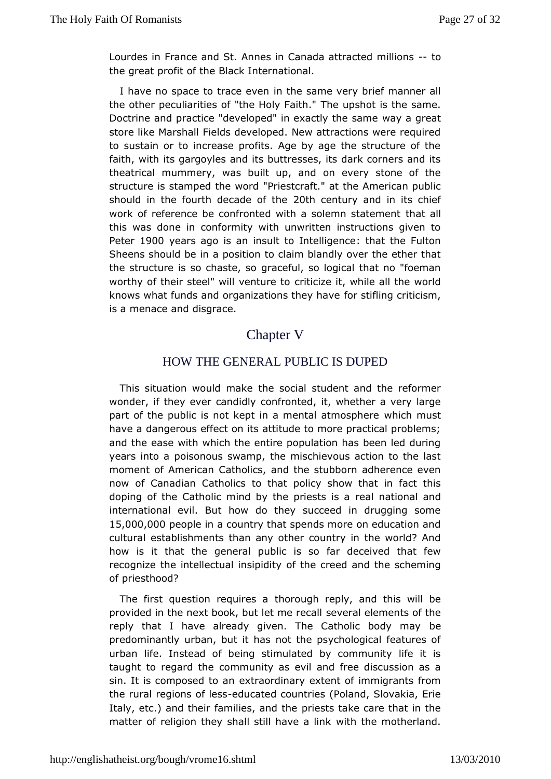Lourdes in France and St. Annes in Canada a-ttoacted millions the great profit of the Black International.

I have no space to traime the esame very brief manner all the other peculiarities of "the  $I$  Hole yu  $\bar{p}$  sait to the same. Doctrine and practice "developed" in exwantly the satame store like Marshall Fields developed. New attractions were re to sustain or to increase profits. Age by age the structure of faith, with gargoyles and its buttresses, its dark corners and theatrical mummway, built up, and on every stone of the structure is stamped the rive os to fat at the American public should in the fourth decadethoof emiteury and in its chief work of reference be confronted with a sotbent astatement this was done in conformity with unwritten instructions give Peten900 years ago is an insult to intitreation be contion Sheens should  $\phi$  position to claim blandly over the ether that the structure is so chasteefsio, so logical that no "foeman worthy of their steel" will veinturetot, while all the world knows what funds and organizations arther  $\mathbf{F}$  have riticism, is a menace and disgrace.

# Chapter

## HOW THE GENERAL PUBLIC IS DUPED

This situation would heas the student and the reformer wonder, if they ever candidly ctonwhetenthead a very large part of the public is not kept in a mentwahiathmmosphere have a dangerous effect on its attitude to more practical prot and the ease with which the entire population has been led d years into caisonous swamp, the mischievous action to the last moment of AmerCcatholics, and the stubborn adherence even now of Canadian Catholics odocy habow that in fact this doping of the Catholic mind by the reparliers assiduated and international evil. But how do they succeed in drugging s 15,000,000 eople in a country that spends more on education a culturæstablishments than any other country in the world? A how is it that gtehnee ral public is so far deceived that few recognize the intellectualofntshipidtreyed and the scheming of priesthood?

The first question reqtubior ecsugah reply, and this will be provided in the next book, but lseet vrease alged thents of the reply that I have already given. The Cathoblec body may predominantly urban, but it has not the psychological featur urban liflenstead of being stimulated by community life it i taught to regard othe munity as evil and free discussion as a sin. It is composed to an dinary extent of immigrants from the rural regions-edues becountries (Poland, Slovakia, Erie Italy, etc.) and their familiepsriess and the e care that in the matter of religion they shall stilwihlavtehea nhionth herland.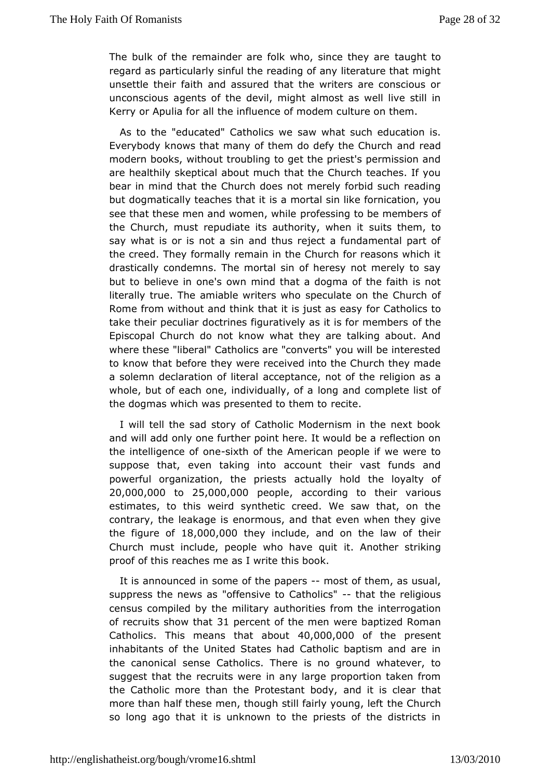The bulk of the remainder are folk who taince the the vare regard as particularly sinful the reading of any literature that unsettle their faith and assured that the writers are conscic unconscioaucents of the devil, might almost as well live still Kerry or Apulia flow antiluence of modem culture on them.

As to the "educated" Caths a high was such education is. Everybody knows that many of them do deafrydtheea  **hurch** modern books, without troubling to get the priest's permission arehealthily skeptical about much that the Church teaches. If bear in mind tthat Church does not merely forbid such reading but dogmatically teaches thantorttal sin like fornication, you see that these men and womperno, fews hsill reg to be members of the Church, must repudiate its authosruitys wheem, ito say what is or is not a sin and thus reject a fundamental  $p \in I$ the creed. They formally remain in the Church for reasons wh drasticat byndemns. The mortal sin of heresy not merely to sa but to believe in onen isn owthe at a dogma of the faith is not literally true. The amiable wsrpiescruslawthoon the Church of Rome from without and think that it is oju Statchsole as y to take their peculiar doctrines figuratively asoift tilsefor members Episcopal Church do not know what they are talking about. where the steberal" Catholics are "converts" you will be interested to know that behowe were received into the Church they made a solemn declaration oafcdetpetraance, not of the religion as a whole, but of each one, individoung luan obtcamplete list of the dogmas which was presented deoithem to

I will tell the sad story of Catholic Modernism in the next and will add only one further point here. It would be a reflect theintelligence of ia the ithe American people if we were to suppose that, en taking into account their vast funds and powerful organization, the acputed syts hold the loyalty of  $20,000,000$   $\omega$   $25,000,000$   $\rho$  e opleaccording to the enirous estimates, to this weird synthetic creed. We saw that, on contraryhe leakage is enormous, and that even when they give the figure  $1\& 6,000,000$  are include, and on the law of their Church must include, people who tha A reodoment striking proof of this reaches me as I write this book.

It is announced in some of the paper of them, as usual, suppress the newosffænsive to Catholinest the religious census compiled by the amuthiotairty es from the interrogation of recruits show 3 the at cent of the wreen baptized Roman  $C$  atholic  $\delta$  his means that  $\frac{\partial A}{\partial Q}$   $\frac{\partial O}{\partial Q}$ ,  $0.000$  the present inhabitants of the United States had Catholic baptism and a the canonisahse Catholics. There is no ground whatever, to suggest that the recruits awneyr targe proportion taken from the Catholic more than the Protessniantibiosity ear that more than half these men, though still fathrely Cyhouring, left so long ago that it is unknown to the priests of the distric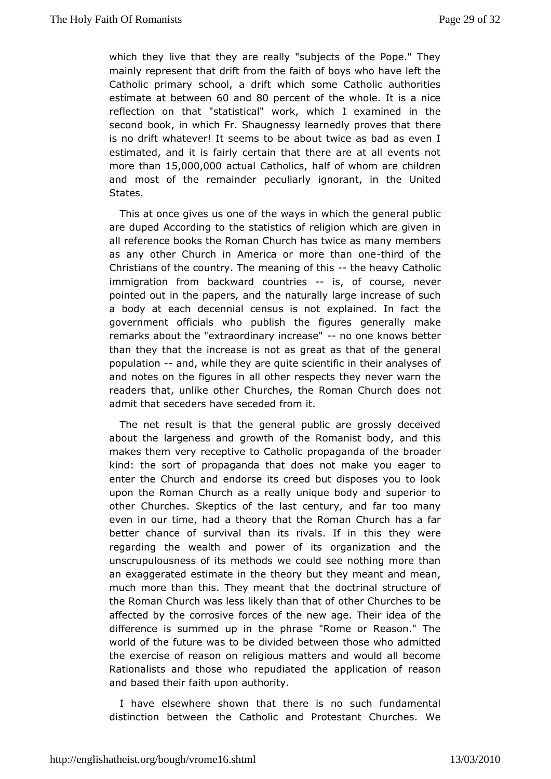which they live that they are really "subjects of the Pope." mainlwepresent that drift from the faith of boys who have left Catholic primsachyool, a drift which some Catholic authorities estimate at bet **@@emd**80 percent of the whole. It is a nice reflection on that "statistical" whoek, anwilmied in the second book, in which Fr. Shaugnessy learntehdeliye proves that is no drift whatever! It seems to be about twice as bad as e estimated, and it is fairly certain that there are at all even more thain 5,000,00a0ctual Catholiad ts of whom are children and most of the remperodudiarly ignorant, in the United States.

This at once gives ushenwaayfs in which the general public are duped According to the situalitigsito as wonfich are given in all reference books the Roman Church ahrays mive habeas as any other Church in America or m-ohrerdthoan to bee Christians of the country. The meaninegheavy is atholic immigratid nom backward countriss of course, never pointed out in the papelme, naand rally large increase of such a body at each decennial census lasnement in fact the government officials who publish the figures generally remarks about the "extraordinary no conease nows better than the that the increase is not as great as that of the gene populatiom and,while they are quite scientific in their analyses and notes on the figaul est hear respects they never warn the readers that, unlike other Churches, Cherch does not admit that seceders have seceded from it.

The netesult is that the general public are grossly deceiv about the largenes os roawntch of the Romanist body, and this makes them very receptive tpropaalgahida of the broader kind: the sort of propaganda that does eagematke you enter the Church and endorse its creed but disposes you to uponthe Roman Church as a really unique body and superior other ChurchSekseptics of the last century, and far too many even in our time, had athtahte ohne Roman Church has a far better chance of survival than its thinsalshev f where regarding the wealth and power of its organization and unscrupulousness of its methods we could see nothing more an exaggerasted mate in the theory but they meant and mean, much more than this. The whan tealmet doctrinal structure of the Roman Church was less likelyothan Chaut offes to be affected by the corrosive forces of the newofaghee Their idea difference is summed up in the phrase "Rome or Reason." world of the future was to be divided between those who admitted the exercise of reaseolmiq bonus matters and would all become Rationalists and those who repundpolined titch the of reason and based their faith upon authority.

have else where shown that there is no such fundamenta distinction betwee Catholic and Protestant Churches. We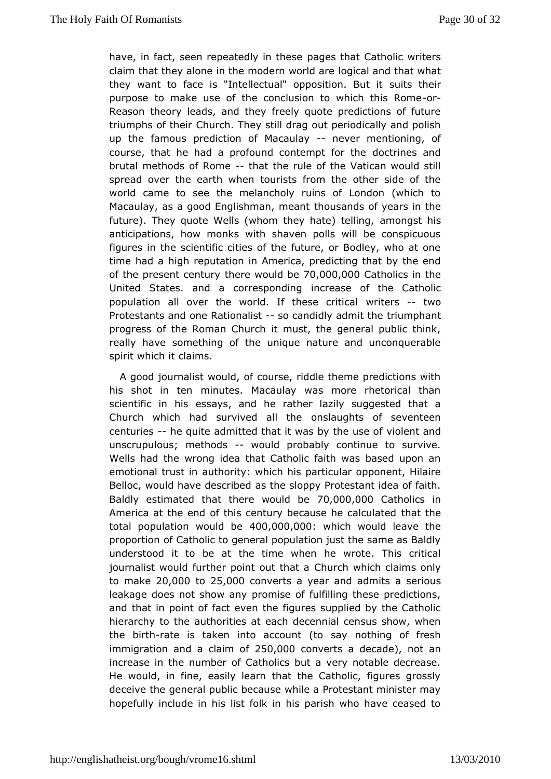have, in fact, seen repeated by destibese Catholic writers claim that they alone in the modelrong would and that what they want to face is "Intellectual" opposits on he But it purpose to make use of the conclusion to wohrich this Rome Reasonheory leads, and they freely quote predictions of fut triumphs of the urch. They still drag out periodically and polis up the famous predicMacaulay never mentioning, of course, that he had a profound contelmontrineers the d brutal methods of -Rohmad the rule of the Vatican would still spread over the earth when tourists from the other side of world came to the emelancholy ruins of London (which to Macaulay, as a good Englishman bushed and the Macaulay, as a good Englishman bushed and the future). They quote Wells (whom they ama  $b$  on  $g$  at ell his independently and  $a$ anticipations, how monks with shaven polls will be conspic figures in the scientific cities of the future, or Bodley, who time had hagh reputation in America, predicting that by the end of the present  $c$  dheury would  $70,000$ , 000 atholics in the United States. and a correispocare daisneg of the Catholic population all over the world. If the steers-rittiwooal Protestants and one  $R$ atisoon  $x$  as didly admit to the phant progress of the Roman Church it must, the general public the  $really$  have something of the unique nature and unconquera spirit which laitms.

A good journalist would, of course, riddle theme predictions his shot in ten minutes. Macaulay was more rhetorical t scientific inessays, and he rather lazily suggested that a Church which had survived on all all the only seventeen centurieshe quite admitted that it was by iblenus and f unscrupulous; methowdsuld probably continue to survive. Wellshad the wrong idea that Catholic faith was based upon emotional trustutimority: which his particular opponent, Hilaire Belloc, would have deass cthee dloppy Protestant idea of faith. Baldly estimated that there  $W$  ( $\omega$ , $\omega$ I ( $\omega$ 000 atholics in America at the end of this century becaust and the alculated total population  $w \circ 4000, b00, 000$  hich would leave the proportion Catholic to general population just the same as Bal understood it to beeatime when he wrote. This critical journalist would further point Cchutrah awhaich claims only to  $mak@0.000 to25.000$  converts a year and asdemibs as leakage does not show any promise of fulfilling these predic andthat in point of fact even the figures supplied by the Catholic hierarchy to athtehorities at each decennial census show, wher the birtate is taken actoount (to say nothing of fresh  $imm$ igration and a cl $a\$ 5 $\omega$ ,  $\omega$ Of  $\omega$  onverts decade), not an increase in the number of Catholics but a very notable decr He would, in fine, easily learn that the Catholic, figures g deceive to he eral public because while a Protestant minister m hopefully include liat hists in his parish who have ceased to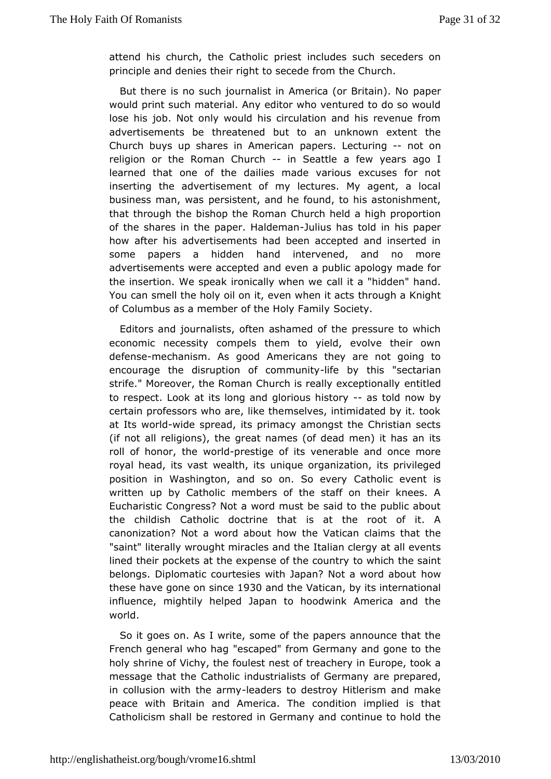attend his church, the Craels olioncludes such seceders on principle and denies their right to heee Ceholer of throm

But there is no such journalist in Americap appremBritain). No would print such material. Any editor who ventured to do so y lose hieb. Not only would his circulation and his revenue fr advertisements the atened but to an unknown extent the Church buys up shares in pampeerriscan Lectu-r-ingt on religion or the Roman - Chour Sheattle a view rs ago I learned that one of the dailies made various excuses for inserting the advertisement of my lectures. My agent, a I business man, pweasistent, and he found, to his astonishment, that through the bishop the habomhaheld a high proportion of the shares in the paper.-JHuailds mhanorsd in his paper how after his advertisements had been accepted and inserte some papers a hidden hand intervened, and no more advertisements were axadpet edn a public apology made for the insertion. We speak ironicat all with ean "whedden" hand. You can smell the holy oil on it, evethin when hat Kanotsht of Columbus as a member of the SHood ye Fyamily

Editors and journalists, often ashamed of the pressure to v economic necessity compels them to yield, evolve their a defensmeechanism.  $q$ Aosod Americans they are not going to encourage the disruption of - tidenboyuntihiys "sectarian strife." Moreover, the Roman Church is read hytitledeptionally to respect. Look at its long and gloriacsustohds now by certain professors who are, like themselves, intimidated by it at Itsvorlowide spread, its primacy amongst the Christian sec (if not  $a$  elligions), the great names (of dead men) it has an i roll of honor, w b redprestige of its venerable and once more royal head, its vast weunthqueitorganization, its privileged position in Washington, and so onCatShooliecveerwent is written up by Catholic members of the staff on their knee: Eucharistic Congress? Not a word must be said to the public the childiCtatholic doctrine that is at the root of it. A canonization? Not a worhdowabtchuet Vatican claims that the "saint" literally wrought miracliteasiand citenegy at all events lined their pockets at the expense of whheicchoutherysaint belongs. Diplomatic courtesies with Japan? Notwa word about these have gone on So30 and the Vatil conts international influence, mightily helped Japan to hoodwink America and world.

So igoes on. As I write, some of the papers announce that French general wh" estreagoed" from Germany and gone to the holy shrine of Vichy, the foulesaches y on Europe, took a message that the Catholic industrialisat seople Generatory in collusion with thee aadennys to destroy Hitlerism and make peace with Britain and America. The condition implied is Catholicism sheathestored in Germany and continue to hold the